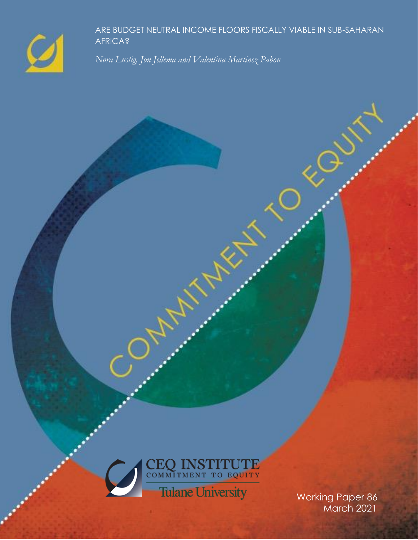

ARE BUDGET NEUTRAL INCOME FLOORS FISCALLY VIABLE IN SUB-SAHARAN AFRICA?

*Nora Lustig, Jon Jellema and Valentina Martinez Pabon*



**MARY REA** 

March 2021

G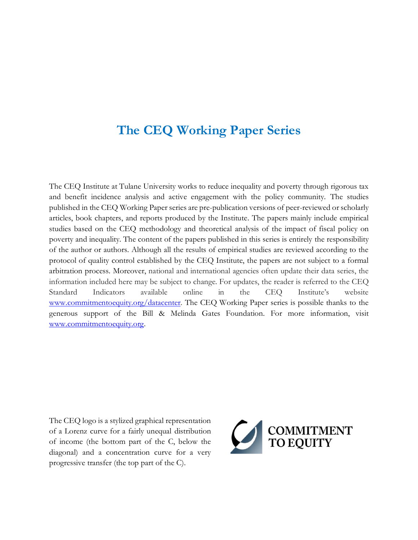# **The CEQ Working Paper Series**

The CEQ Institute at Tulane University works to reduce inequality and poverty through rigorous tax and benefit incidence analysis and active engagement with the policy community. The studies published in the CEQ Working Paper series are pre-publication versions of peer-reviewed or scholarly articles, book chapters, and reports produced by the Institute. The papers mainly include empirical studies based on the CEQ methodology and theoretical analysis of the impact of fiscal policy on poverty and inequality. The content of the papers published in this series is entirely the responsibility of the author or authors. Although all the results of empirical studies are reviewed according to the protocol of quality control established by the CEQ Institute, the papers are not subject to a formal arbitration process. Moreover, national and international agencies often update their data series, the information included here may be subject to change. For updates, the reader is referred to the CEQ Standard Indicators available online in the CEQ Institute's website [www.commitmentoequity.org/datacenter.](http://www.commitmentoequity.org/datacenter) The CEQ Working Paper series is possible thanks to the generous support of the Bill & Melinda Gates Foundation. For more information, visit [www.commitmentoequity.org.](http://www.commitmentoequity.org/)

The CEQ logo is a stylized graphical representation of a Lorenz curve for a fairly unequal distribution of income (the bottom part of the C, below the diagonal) and a concentration curve for a very progressive transfer (the top part of the C).

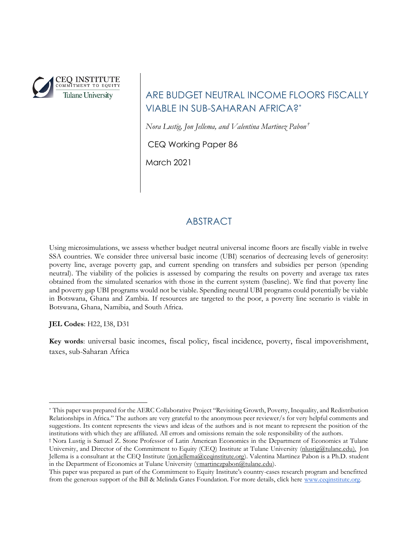

## ARE BUDGET NEUTRAL INCOME FLOORS FISCALLY VIABLE IN SUB-SAHARAN AFRICA?\*

*Nora Lustig, Jon Jellema, and Valentina Martinez Pabon †*

CEQ Working Paper 86

March 2021

## ABSTRACT

Using microsimulations, we assess whether budget neutral universal income floors are fiscally viable in twelve SSA countries. We consider three universal basic income (UBI) scenarios of decreasing levels of generosity: poverty line, average poverty gap, and current spending on transfers and subsidies per person (spending neutral). The viability of the policies is assessed by comparing the results on poverty and average tax rates obtained from the simulated scenarios with those in the current system (baseline). We find that poverty line and poverty gap UBI programs would not be viable. Spending neutral UBI programs could potentially be viable in Botswana, Ghana and Zambia. If resources are targeted to the poor, a poverty line scenario is viable in Botswana, Ghana, Namibia, and South Africa.

**JEL Codes**: H22, I38, D31

**Key words**: universal basic incomes, fiscal policy, fiscal incidence, poverty, fiscal impoverishment, taxes, sub-Saharan Africa

<sup>\*</sup> This paper was prepared for the AERC Collaborative Project "Revisiting Growth, Poverty, Inequality, and Redistribution Relationships in Africa." The authors are very grateful to the anonymous peer reviewer/s for very helpful comments and suggestions. Its content represents the views and ideas of the authors and is not meant to represent the position of the institutions with which they are affiliated. All errors and omissions remain the sole responsibility of the authors.

<sup>†</sup> Nora Lustig is Samuel Z. Stone Professor of Latin American Economics in the Department of Economics at Tulane University, and Director of the Commitment to Equity (CEQ) Institute at Tulane University [\(nlustig@tulane.edu\)](mailto:nlustig@tulane.edu). Jon Jellema is a consultant at the CEQ Institute [\(jon.jellema@ceqinstitute.org\)](mailto:jon.jellema@ceqinstitute.org). Valentina Martinez Pabon is a Ph.D. student in the Department of Economics at Tulane University [\(vmartinezpabon@tulane.edu\)](mailto:vmartinezpabon@tulane.edu).

This paper was prepared as part of the Commitment to Equity Institute's country-cases research program and benefitted from the generous support of the Bill & Melinda Gates Foundation. For more details, click here [www.ceqinstitute.org](http://www.ceqinstitute.org/).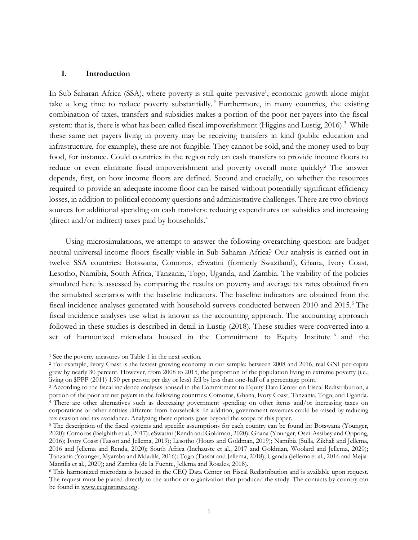#### **I. Introduction**

In Sub-Saharan Africa (SSA), where poverty is still quite pervasive<sup>1</sup>, economic growth alone might take a long time to reduce poverty substantially. <sup>2</sup> Furthermore, in many countries, the existing combination of taxes, transfers and subsidies makes a portion of the poor net payers into the fiscal system: that is, there is what has been called fiscal impoverishment (Higgins and Lustig, 2016).<sup>3</sup> While these same net payers living in poverty may be receiving transfers in kind (public education and infrastructure, for example), these are not fungible. They cannot be sold, and the money used to buy food, for instance. Could countries in the region rely on cash transfers to provide income floors to reduce or even eliminate fiscal impoverishment and poverty overall more quickly? The answer depends, first, on how income floors are defined. Second and crucially, on whether the resources required to provide an adequate income floor can be raised without potentially significant efficiency losses, in addition to political economy questions and administrative challenges. There are two obvious sources for additional spending on cash transfers: reducing expenditures on subsidies and increasing (direct and/or indirect) taxes paid by households.<sup>4</sup>

Using microsimulations, we attempt to answer the following overarching question: are budget neutral universal income floors fiscally viable in Sub-Saharan Africa? Our analysis is carried out in twelve SSA countries: Botswana, Comoros, eSwatini (formerly Swaziland), Ghana, Ivory Coast, Lesotho, Namibia, South Africa, Tanzania, Togo, Uganda, and Zambia. The viability of the policies simulated here is assessed by comparing the results on poverty and average tax rates obtained from the simulated scenarios with the baseline indicators. The baseline indicators are obtained from the fiscal incidence analyses generated with household surveys conducted between 2010 and 2015.<sup>5</sup> The fiscal incidence analyses use what is known as the accounting approach. The accounting approach followed in these studies is described in detail in Lustig (2018). These studies were converted into a set of harmonized microdata housed in the Commitment to Equity Institute <sup>6</sup> and the

<sup>1</sup> See the poverty measures on Table 1 in the next section.

<sup>2</sup> For example, Ivory Coast is the fastest growing economy in our sample: between 2008 and 2016, real GNI per-capita grew by nearly 30 percent. However, from 2008 to 2015, the proportion of the population living in extreme poverty (i.e., living on \$PPP (2011) 1.90 per person per day or less) fell by less than one-half of a percentage point.

<sup>3</sup> According to the fiscal incidence analyses housed in the Commitment to Equity Data Center on Fiscal Redistribution, a portion of the poor are net payers in the following countries: Comoros, Ghana, Ivory Coast, Tanzania, Togo, and Uganda. <sup>4</sup> There are other alternatives such as decreasing government spending on other items and/or increasing taxes on corporations or other entities different from households. In addition, government revenues could be raised by reducing tax evasion and tax avoidance. Analyzing these options goes beyond the scope of this paper.

<sup>&</sup>lt;sup>5</sup> The description of the fiscal systems and specific assumptions for each country can be found in: Botswana (Younger, 2020); Comoros (Belghith et al., 2017); eSwatini (Renda and Goldman, 2020); Ghana (Younger, Osei-Assibey and Oppong, 2016); Ivory Coast (Tassot and Jellema, 2019); Lesotho (Houts and Goldman, 2019); Namibia (Sulla, Zikhali and Jellema, 2016 and Jellema and Renda, 2020); South Africa (Inchauste et al., 2017 and Goldman, Woolard and Jellema, 2020); Tanzania (Younger, Myamba and Mdadila, 2016); Togo (Tassot and Jellema, 2018); Uganda (Jellema et al., 2016 and Mejia-Mantilla et al., 2020); and Zambia (de la Fuente, Jellema and Rosales, 2018).

<sup>6</sup> This harmonized microdata is housed in the CEQ Data Center on Fiscal Redistribution and is available upon request. The request must be placed directly to the author or organization that produced the study. The contacts by country can be found in [www.ceqinstitute.org.](http://www.ceqinstitute.org/)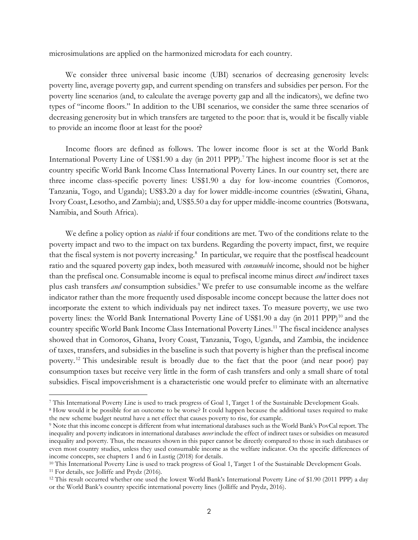microsimulations are applied on the harmonized microdata for each country.

We consider three universal basic income (UBI) scenarios of decreasing generosity levels: poverty line, average poverty gap, and current spending on transfers and subsidies per person. For the poverty line scenarios (and, to calculate the average poverty gap and all the indicators), we define two types of "income floors." In addition to the UBI scenarios, we consider the same three scenarios of decreasing generosity but in which transfers are targeted to the poor: that is, would it be fiscally viable to provide an income floor at least for the poor?

Income floors are defined as follows. The lower income floor is set at the World Bank International Poverty Line of US\$1.90 a day (in 2011 PPP).<sup>7</sup> The highest income floor is set at the country specific World Bank Income Class International Poverty Lines. In our country set, there are three income class-specific poverty lines: US\$1.90 a day for low-income countries (Comoros, Tanzania, Togo, and Uganda); US\$3.20 a day for lower middle-income countries (eSwatini, Ghana, Ivory Coast, Lesotho, and Zambia); and, US\$5.50 a day for upper middle-income countries (Botswana, Namibia, and South Africa).

We define a policy option as *viable* if four conditions are met. Two of the conditions relate to the poverty impact and two to the impact on tax burdens. Regarding the poverty impact, first, we require that the fiscal system is not poverty increasing.<sup>8</sup> In particular, we require that the postfiscal headcount ratio and the squared poverty gap index, both measured with *consumable* income, should not be higher than the prefiscal one. Consumable income is equal to prefiscal income minus direct *and* indirect taxes plus cash transfers *and* consumption subsidies.<sup>9</sup> We prefer to use consumable income as the welfare indicator rather than the more frequently used disposable income concept because the latter does not incorporate the extent to which individuals pay net indirect taxes. To measure poverty, we use two poverty lines: the World Bank International Poverty Line of US\$1.90 a day (in 2011 PPP)<sup>10</sup> and the country specific World Bank Income Class International Poverty Lines.<sup>11</sup> The fiscal incidence analyses showed that in Comoros, Ghana, Ivory Coast, Tanzania, Togo, Uganda, and Zambia, the incidence of taxes, transfers, and subsidies in the baseline is such that poverty is higher than the prefiscal income poverty. <sup>12</sup> This undesirable result is broadly due to the fact that the poor (and near poor) pay consumption taxes but receive very little in the form of cash transfers and only a small share of total subsidies. Fiscal impoverishment is a characteristic one would prefer to eliminate with an alternative

<sup>7</sup> This International Poverty Line is used to track progress of Goal 1, Target 1 of the Sustainable Development Goals.

<sup>8</sup> How would it be possible for an outcome to be worse? It could happen because the additional taxes required to make the new scheme budget neutral have a net effect that causes poverty to rise, for example.

<sup>9</sup> Note that this income concept is different from what international databases such as the World Bank's PovCal report. The inequality and poverty indicators in international databases *never* include the effect of indirect taxes or subsidies on measured inequality and poverty. Thus, the measures shown in this paper cannot be directly compared to those in such databases or even most country studies, unless they used consumable income as the welfare indicator. On the specific differences of income concepts, see chapters 1 and 6 in Lustig (2018) for details.

<sup>&</sup>lt;sup>10</sup> This International Poverty Line is used to track progress of Goal 1, Target 1 of the Sustainable Development Goals. <sup>11</sup> For details, see Jolliffe and Prydz (2016).

<sup>12</sup> This result occurred whether one used the lowest World Bank's International Poverty Line of \$1.90 (2011 PPP) a day or the World Bank's country specific international poverty lines (Jolliffe and Prydz, 2016).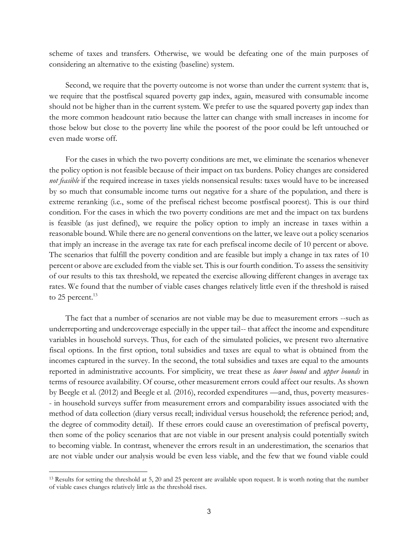scheme of taxes and transfers. Otherwise, we would be defeating one of the main purposes of considering an alternative to the existing (baseline) system.

Second, we require that the poverty outcome is not worse than under the current system: that is, we require that the postfiscal squared poverty gap index, again, measured with consumable income should not be higher than in the current system. We prefer to use the squared poverty gap index than the more common headcount ratio because the latter can change with small increases in income for those below but close to the poverty line while the poorest of the poor could be left untouched or even made worse off.

For the cases in which the two poverty conditions are met, we eliminate the scenarios whenever the policy option is not feasible because of their impact on tax burdens. Policy changes are considered *not feasible* if the required increase in taxes yields nonsensical results: taxes would have to be increased by so much that consumable income turns out negative for a share of the population, and there is extreme reranking (i.e., some of the prefiscal richest become postfiscal poorest). This is our third condition. For the cases in which the two poverty conditions are met and the impact on tax burdens is feasible (as just defined), we require the policy option to imply an increase in taxes within a reasonable bound. While there are no general conventions on the latter, we leave out a policy scenarios that imply an increase in the average tax rate for each prefiscal income decile of 10 percent or above. The scenarios that fulfill the poverty condition and are feasible but imply a change in tax rates of 10 percent or above are excluded from the viable set. This is our fourth condition. To assess the sensitivity of our results to this tax threshold, we repeated the exercise allowing different changes in average tax rates. We found that the number of viable cases changes relatively little even if the threshold is raised to 25 percent.<sup>13</sup>

The fact that a number of scenarios are not viable may be due to measurement errors --such as underreporting and undercoverage especially in the upper tail-- that affect the income and expenditure variables in household surveys. Thus, for each of the simulated policies, we present two alternative fiscal options. In the first option, total subsidies and taxes are equal to what is obtained from the incomes captured in the survey. In the second, the total subsidies and taxes are equal to the amounts reported in administrative accounts. For simplicity, we treat these as *lower bound* and *upper bounds* in terms of resource availability. Of course, other measurement errors could affect our results. As shown by Beegle et al. (2012) and Beegle et al. (2016), recorded expenditures —and, thus, poverty measures- - in household surveys suffer from measurement errors and comparability issues associated with the method of data collection (diary versus recall; individual versus household; the reference period; and, the degree of commodity detail). If these errors could cause an overestimation of prefiscal poverty, then some of the policy scenarios that are not viable in our present analysis could potentially switch to becoming viable. In contrast, whenever the errors result in an underestimation, the scenarios that are not viable under our analysis would be even less viable, and the few that we found viable could

<sup>13</sup> Results for setting the threshold at 5, 20 and 25 percent are available upon request. It is worth noting that the number of viable cases changes relatively little as the threshold rises.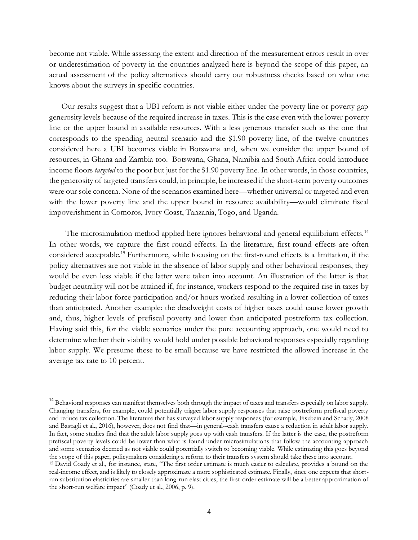become not viable. While assessing the extent and direction of the measurement errors result in over or underestimation of poverty in the countries analyzed here is beyond the scope of this paper, an actual assessment of the policy alternatives should carry out robustness checks based on what one knows about the surveys in specific countries.

Our results suggest that a UBI reform is not viable either under the poverty line or poverty gap generosity levels because of the required increase in taxes. This is the case even with the lower poverty line or the upper bound in available resources. With a less generous transfer such as the one that corresponds to the spending neutral scenario and the \$1.90 poverty line, of the twelve countries considered here a UBI becomes viable in Botswana and, when we consider the upper bound of resources, in Ghana and Zambia too. Botswana, Ghana, Namibia and South Africa could introduce income floors *targeted* to the poor but just for the \$1.90 poverty line. In other words, in those countries, the generosity of targeted transfers could, in principle, be increased if the short-term poverty outcomes were our sole concern. None of the scenarios examined here—whether universal or targeted and even with the lower poverty line and the upper bound in resource availability—would eliminate fiscal impoverishment in Comoros, Ivory Coast, Tanzania, Togo, and Uganda.

The microsimulation method applied here ignores behavioral and general equilibrium effects.<sup>14</sup> In other words, we capture the first-round effects. In the literature, first-round effects are often considered acceptable.<sup>15</sup> Furthermore, while focusing on the first-round effects is a limitation, if the policy alternatives are not viable in the absence of labor supply and other behavioral responses, they would be even less viable if the latter were taken into account. An illustration of the latter is that budget neutrality will not be attained if, for instance, workers respond to the required rise in taxes by reducing their labor force participation and/or hours worked resulting in a lower collection of taxes than anticipated. Another example: the deadweight costs of higher taxes could cause lower growth and, thus, higher levels of prefiscal poverty and lower than anticipated postreform tax collection. Having said this, for the viable scenarios under the pure accounting approach, one would need to determine whether their viability would hold under possible behavioral responses especially regarding labor supply. We presume these to be small because we have restricted the allowed increase in the average tax rate to 10 percent.

<sup>&</sup>lt;sup>14</sup> Behavioral responses can manifest themselves both through the impact of taxes and transfers especially on labor supply. Changing transfers, for example, could potentially trigger labor supply responses that raise postreform prefiscal poverty and reduce tax collection. The literature that has surveyed labor supply responses (for example, Fiszbein and Schady, 2008 and Bastagli et al., 2016), however, does not find that—in general--cash transfers cause a reduction in adult labor supply. In fact, some studies find that the adult labor supply goes up with cash transfers. If the latter is the case, the postreform prefiscal poverty levels could be lower than what is found under microsimulations that follow the accounting approach and some scenarios deemed as not viable could potentially switch to becoming viable. While estimating this goes beyond the scope of this paper, policymakers considering a reform to their transfers system should take these into account.

<sup>15</sup> David Coady et al., for instance, state, "The first order estimate is much easier to calculate, provides a bound on the real-income effect, and is likely to closely approximate a more sophisticated estimate. Finally, since one expects that shortrun substitution elasticities are smaller than long-run elasticities, the first-order estimate will be a better approximation of the short-run welfare impact" (Coady et al., 2006, p. 9).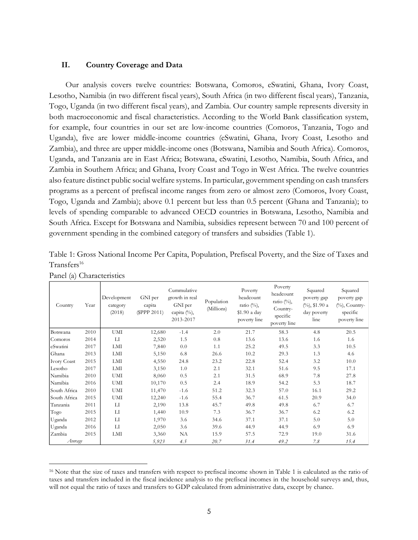## **II. Country Coverage and Data**

Our analysis covers twelve countries: Botswana, Comoros, eSwatini, Ghana, Ivory Coast, Lesotho, Namibia (in two different fiscal years), South Africa (in two different fiscal years), Tanzania, Togo, Uganda (in two different fiscal years), and Zambia. Our country sample represents diversity in both macroeconomic and fiscal characteristics. According to the World Bank classification system, for example, four countries in our set are low-income countries (Comoros, Tanzania, Togo and Uganda), five are lower middle-income countries (eSwatini, Ghana, Ivory Coast, Lesotho and Zambia), and three are upper middle-income ones (Botswana, Namibia and South Africa). Comoros, Uganda, and Tanzania are in East Africa; Botswana, eSwatini, Lesotho, Namibia, South Africa, and Zambia in Southern Africa; and Ghana, Ivory Coast and Togo in West Africa. The twelve countries also feature distinct public social welfare systems. In particular, government spending on cash transfers programs as a percent of prefiscal income ranges from zero or almost zero (Comoros, Ivory Coast, Togo, Uganda and Zambia); above 0.1 percent but less than 0.5 percent (Ghana and Tanzania); to levels of spending comparable to advanced OECD countries in Botswana, Lesotho, Namibia and South Africa. Except for Botswana and Namibia, subsidies represent between 70 and 100 percent of government spending in the combined category of transfers and subsidies (Table 1).

| Table 1: Gross National Income Per Capita, Population, Prefiscal Poverty, and the Size of Taxes and |  |  |  |  |
|-----------------------------------------------------------------------------------------------------|--|--|--|--|
| Transfers <sup>16</sup>                                                                             |  |  |  |  |

| Country            | Year | Development<br>category<br>(2018) | GNI per<br>capita<br>(\$PPP 2011) | Cummulative<br>growth in real<br>GNI per<br>capita $(\%)$ ,<br>2013-2017 | Population<br>(Millions) | Poverty<br>headcount<br>ratio $(\%)$ ,<br>\$1.90 a day<br>poverty line | Poverty<br>headcount<br>ratio $(\%)$ ,<br>Country-<br>specific<br>poverty line | Squared<br>poverty gap<br>$(\frac{9}{6})$ , \$1.90 a<br>day poverty<br>line | Squared<br>poverty gap<br>$(\%)$ , Country-<br>specific<br>poverty line |
|--------------------|------|-----------------------------------|-----------------------------------|--------------------------------------------------------------------------|--------------------------|------------------------------------------------------------------------|--------------------------------------------------------------------------------|-----------------------------------------------------------------------------|-------------------------------------------------------------------------|
| Botswana           | 2010 | UMI                               | 12,680                            | $-1.4$                                                                   | 2.0                      | 21.7                                                                   | 58.3                                                                           | 4.8                                                                         | 20.5                                                                    |
| Comoros            | 2014 | LI                                | 2,520                             | 1.5                                                                      | 0.8                      | 13.6                                                                   | 13.6                                                                           | 1.6                                                                         | 1.6                                                                     |
| eSwatini           | 2017 | LMI                               | 7,840                             | 0.0                                                                      | 1.1                      | 25.2                                                                   | 49.5                                                                           | 3.3                                                                         | 10.5                                                                    |
| Ghana              | 2013 | LMI                               | 5,150                             | 6.8                                                                      | 26.6                     | 10.2                                                                   | 29.3                                                                           | 1.3                                                                         | 4.6                                                                     |
| <b>Ivory Coast</b> | 2015 | LMI                               | 4,550                             | 24.8                                                                     | 23.2                     | 22.8                                                                   | 52.4                                                                           | 3.2                                                                         | 10.0                                                                    |
| Lesotho            | 2017 | LMI                               | 3,150                             | 1.0                                                                      | 2.1                      | 32.1                                                                   | 51.6                                                                           | 9.5                                                                         | 17.1                                                                    |
| Namibia            | 2010 | UMI                               | 8,060                             | 0.5                                                                      | 2.1                      | 31.5                                                                   | 68.9                                                                           | 7.8                                                                         | 27.8                                                                    |
| Namibia            | 2016 | UMI                               | 10,170                            | 0.5                                                                      | 2.4                      | 18.9                                                                   | 54.2                                                                           | 5.3                                                                         | 18.7                                                                    |
| South Africa       | 2010 | UMI                               | 11,470                            | $-1.6$                                                                   | 51.2                     | 32.3                                                                   | 57.0                                                                           | 16.1                                                                        | 29.2                                                                    |
| South Africa       | 2015 | UMI                               | 12,240                            | $-1.6$                                                                   | 55.4                     | 36.7                                                                   | 61.5                                                                           | 20.9                                                                        | 34.0                                                                    |
| Tanzania           | 2011 | LI                                | 2,190                             | 13.8                                                                     | 45.7                     | 49.8                                                                   | 49.8                                                                           | 6.7                                                                         | 6.7                                                                     |
| Togo               | 2015 | $_{\rm LI}$                       | 1,440                             | 10.9                                                                     | 7.3                      | 36.7                                                                   | 36.7                                                                           | 6.2                                                                         | 6.2                                                                     |
| Uganda             | 2012 | $_{\text{LI}}$                    | 1,970                             | 3.6                                                                      | 34.6                     | 37.1                                                                   | 37.1                                                                           | 5.0                                                                         | 5.0                                                                     |
| Uganda             | 2016 | $_{\text{LI}}$                    | 2,050                             | 3.6                                                                      | 39.6                     | 44.9                                                                   | 44.9                                                                           | 6.9                                                                         | 6.9                                                                     |
| Zambia             | 2015 | LMI                               | 3,360                             | NA                                                                       | 15.9                     | 57.5                                                                   | 72.9                                                                           | 19.0                                                                        | 31.6                                                                    |
| Average            |      |                                   | 5,923                             | 4.5                                                                      | 20.7                     | 31.4                                                                   | 49.2                                                                           | 7.8                                                                         | 15.4                                                                    |

Panel (a) Characteristics

<sup>16</sup> Note that the size of taxes and transfers with respect to prefiscal income shown in Table 1 is calculated as the ratio of taxes and transfers included in the fiscal incidence analysis to the prefiscal incomes in the household surveys and, thus, will not equal the ratio of taxes and transfers to GDP calculated from administrative data, except by chance.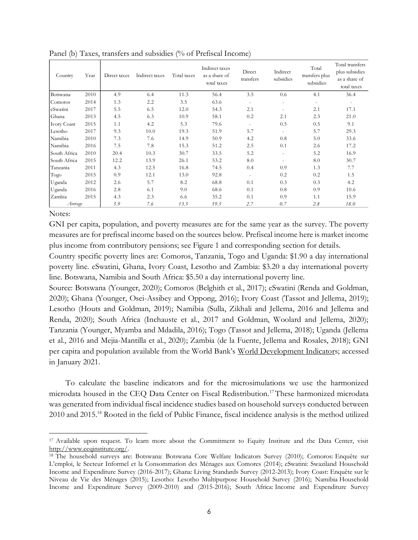| Country            | Year | Direct taxes | Indirect taxes | Total taxes | Indirect taxes<br>as a share of<br>total taxes | Direct<br>transfers      | Indirect<br>subsidies        | Total<br>transfers plus<br>subsidies | Total transfers<br>plus subsidies<br>as a share of<br>total taxes |
|--------------------|------|--------------|----------------|-------------|------------------------------------------------|--------------------------|------------------------------|--------------------------------------|-------------------------------------------------------------------|
| Botswana           | 2010 | 4.9          | 6.4            | 11.3        | 56.4                                           | 3.5                      | 0.6                          | 4.1                                  | 36.4                                                              |
| Comoros            | 2014 | 1.3          | 2.2            | 3.5         | 63.6                                           | $\overline{\phantom{a}}$ | ٠                            | $\overline{\phantom{a}}$             | $\overline{\phantom{a}}$                                          |
| eSwatini           | 2017 | 5.5          | 6.5            | 12.0        | 54.3                                           | 2.1                      |                              | 2.1                                  | 17.1                                                              |
| Ghana              | 2013 | 4.5          | 6.3            | 10.9        | 58.1                                           | 0.2                      | 2.1                          | 2.3                                  | 21.0                                                              |
| <b>Ivory Coast</b> | 2015 | 1.1          | 4.2            | 5.3         | 79.6                                           | $\overline{\phantom{a}}$ | 0.5                          | 0.5                                  | 9.1                                                               |
| Lesotho            | 2017 | 9.3          | 10.0           | 19.3        | 51.9                                           | 5.7                      | $\overline{\phantom{a}}$     | 5.7                                  | 29.3                                                              |
| Namibia            | 2010 | 7.3          | 7.6            | 14.9        | 50.9                                           | 4.2                      | 0.8                          | 5.0                                  | 33.6                                                              |
| Namibia            | 2016 | 7.5          | 7.8            | 15.3        | 51.2                                           | 2.5                      | 0.1                          | 2.6                                  | 17.2                                                              |
| South Africa       | 2010 | 20.4         | 10.3           | 30.7        | 33.5                                           | 5.2                      | $\qquad \qquad \blacksquare$ | 5.2                                  | 16.9                                                              |
| South Africa       | 2015 | 12.2         | 13.9           | 26.1        | 53.2                                           | 8.0                      | $\overline{\phantom{a}}$     | 8.0                                  | 30.7                                                              |
| Tanzania           | 2011 | 4.3          | 12.5           | 16.8        | 74.5                                           | 0.4                      | 0.9                          | 1.3                                  | 7.7                                                               |
| Togo               | 2015 | 0.9          | 12.1           | 13.0        | 92.8                                           | $\bar{a}$                | 0.2                          | 0.2                                  | 1.5                                                               |
| Uganda             | 2012 | 2.6          | 5.7            | 8.2         | 68.8                                           | 0.1                      | 0.3                          | 0.3                                  | 4.2                                                               |
| Uganda             | 2016 | 2.8          | 6.1            | 9.0         | 68.6                                           | 0.1                      | 0.8                          | 0.9                                  | 10.6                                                              |
| Zambia             | 2015 | 4.3          | 2.3            | 6.6         | 35.2                                           | 0.1                      | 0.9                          | 1.1                                  | 15.9                                                              |
| Average            |      | 5.9          | 7.6            | 13.5        | 59.5                                           | 2,7                      | 0.7                          | 2.8                                  | 18.0                                                              |

Panel (b) Taxes, transfers and subsidies (% of Prefiscal Income)

### Notes:

GNI per capita, population, and poverty measures are for the same year as the survey. The poverty measures are for prefiscal income based on the sources below. Prefiscal income here is market income plus income from contributory pensions; see Figure 1 and corresponding section for details.

Country specific poverty lines are: Comoros, Tanzania, Togo and Uganda: \$1.90 a day international poverty line. eSwatini, Ghana, Ivory Coast, Lesotho and Zambia: \$3.20 a day international poverty line. Botswana, Namibia and South Africa: \$5.50 a day international poverty line.

Source: Botswana (Younger, 2020); Comoros (Belghith et al., 2017); eSwatini (Renda and Goldman, 2020); Ghana (Younger, Osei-Assibey and Oppong, 2016); Ivory Coast (Tassot and Jellema, 2019); Lesotho (Houts and Goldman, 2019); Namibia (Sulla, Zikhali and Jellema, 2016 and Jellema and Renda, 2020); South Africa (Inchauste et al., 2017 and Goldman, Woolard and Jellema, 2020); Tanzania (Younger, Myamba and Mdadila, 2016); Togo (Tassot and Jellema, 2018); Uganda (Jellema et al., 2016 and Mejia-Mantilla et al., 2020); Zambia (de la Fuente, Jellema and Rosales, 2018); GNI per capita and population available from the World Bank's [World Development Indicators](https://databank.worldbank.org/source/world-development-indicators/); accessed in January 2021.

To calculate the baseline indicators and for the microsimulations we use the harmonized microdata housed in the CEQ Data Center on Fiscal Redistribution.<sup>17</sup>These harmonized microdata was generated from individual fiscal incidence studies based on household surveys conducted between 2010 and 2015.<sup>18</sup> Rooted in the field of Public Finance, fiscal incidence analysis is the method utilized

<sup>17</sup> Available upon request. To learn more about the Commitment to Equity Institute and the Data Center, visit [http://www.ceqinstitute.org/.](http://www.ceqinstitute.org/)

<sup>&</sup>lt;sup>18</sup> The household surveys are: Botswana: Botswana Core Welfare Indicators Survey (2010); Comoros: Enquête sur L'emploi, le Secteur Informel et la Consommation des Ménages aux Comores (2014); eSwatini: Swaziland Household Income and Expenditure Survey (2016-2017); Ghana: Living Standards Survey (2012-2013); Ivory Coast: Enquête sur le Niveau de Vie des Ménages (2015); Lesotho: Lesotho Multipurpose Household Survey (2016); Namibia Household Income and Expenditure Survey (2009-2010) and (2015-2016); South Africa: Income and Expenditure Survey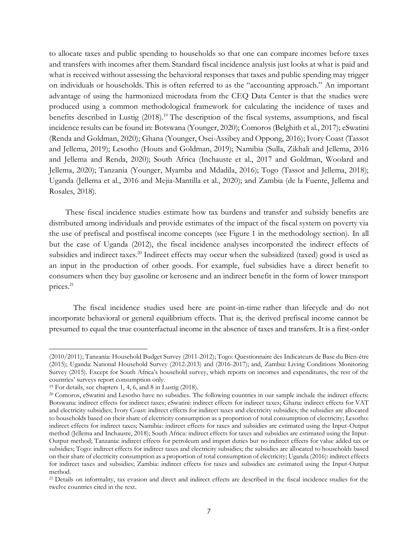to allocate taxes and public spending to households so that one can compare incomes before taxes and transfers with incomes after them. Standard fiscal incidence analysis just looks at what is paid and what is received without assessing the behavioral responses that taxes and public spending may trigger on individuals or households. This is often referred to as the "accounting approach." An important advantage of using the harmonized microdata from the CEQ Data Center is that the studies were produced using a common methodological framework for calculating the incidence of taxes and benefits described in Lustig (2018).<sup>19</sup> The description of the fiscal systems, assumptions, and fiscal incidence results can be found in: Botswana (Younger, 2020); Comoros (Belghith et al., 2017); eSwatini (Renda and Goldman, 2020); Ghana (Younger, Osei-Assibey and Oppong, 2016); Ivory Coast (Tassot and Jellema, 2019); Lesotho (Houts and Goldman, 2019); Namibia (Sulla, Zikhali and Jellema, 2016 and Jellema and Renda, 2020); South Africa (Inchauste et al., 2017 and Goldman, Woolard and Jellema, 2020); Tanzania (Younger, Myamba and Mdadila, 2016); Togo (Tassot and Jellema, 2018); Uganda (Jellema et al., 2016 and Mejia-Mantilla et al., 2020); and Zambia (de la Fuente, Jellema and Rosales, 2018).

These fiscal incidence studies estimate how tax burdens and transfer and subsidy benefits are distributed among individuals and provide estimates of the impact of the fiscal system on poverty via the use of prefiscal and postfiscal income concepts (see Figure 1 in the methodology section). In all but the case of Uganda (2012), the fiscal incidence analyses incorporated the indirect effects of subsidies and indirect taxes.<sup>20</sup> Indirect effects may occur when the subsidized (taxed) good is used as an input in the production of other goods. For example, fuel subsidies have a direct benefit to consumers when they buy gasoline or kerosene and an indirect benefit in the form of lower transport prices.<sup>21</sup>

The fiscal incidence studies used here are point-in-time rather than lifecycle and do not incorporate behavioral or general equilibrium effects. That is, the derived prefiscal income cannot be presumed to equal the true counterfactual income in the absence of taxes and transfers. It is a first-order

<sup>(2010/2011);</sup> Tanzania: Household Budget Survey (2011-2012); Togo: Questionnaire des Indicateurs de Base du Bien-être (2015); Uganda: National Household Survey (2012-2013) and (2016-2017); and, Zambia: Living Conditions Monitoring Survey (2015). Except for South Africa's household survey, which reports on incomes and expenditures, the rest of the countries' surveys report consumption only.

<sup>19</sup> For details, see chapters 1, 4, 6, and 8 in Lustig (2018).

<sup>&</sup>lt;sup>20</sup> Comoros, eSwatini and Lesotho have no subsidies. The following countries in our sample include the indirect effects: Botswana: indirect effects for indirect taxes; eSwatini: indirect effects for indirect taxes; Ghana: indirect effects for VAT and electricity subsidies; Ivory Coast: indirect effects for indirect taxes and electricity subsidies; the subsidies are allocated to households based on their share of electricity consumption as a proportion of total consumption of electricity; Lesotho: indirect effects for indirect taxes; Namibia: indirect effects for taxes and subsidies are estimated using the Input-Output method (Jellema and Inchauste, 2018); South Africa: indirect effects for taxes and subsidies are estimated using the Input-Output method; Tanzania: indirect effects for petroleum and import duties but no indirect effects for value added tax or subsidies; Togo: indirect effects for indirect taxes and electricity subsidies; the subsidies are allocated to households based on their share of electricity consumption as a proportion of total consumption of electricity; Uganda (2016): indirect effects for indirect taxes and subsidies; Zambia: indirect effects for taxes and subsidies are estimated using the Input-Output method.

<sup>21</sup> Details on informality, tax evasion and direct and indirect effects are described in the fiscal incidence studies for the twelve countries cited in the text.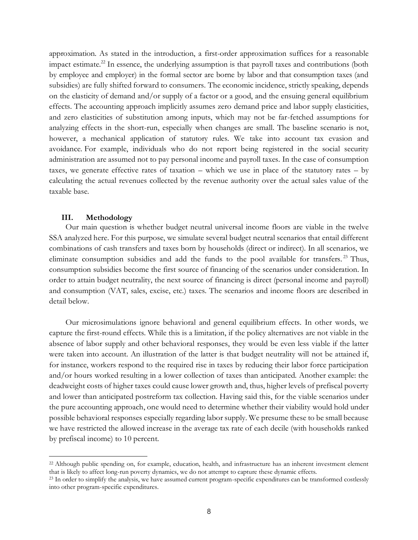approximation. As stated in the introduction, a first-order approximation suffices for a reasonable impact estimate.<sup>22</sup> In essence, the underlying assumption is that payroll taxes and contributions (both by employee and employer) in the formal sector are borne by labor and that consumption taxes (and subsidies) are fully shifted forward to consumers. The economic incidence, strictly speaking, depends on the elasticity of demand and/or supply of a factor or a good, and the ensuing general equilibrium effects. The accounting approach implicitly assumes zero demand price and labor supply elasticities, and zero elasticities of substitution among inputs, which may not be far-fetched assumptions for analyzing effects in the short-run, especially when changes are small. The baseline scenario is not, however, a mechanical application of statutory rules. We take into account tax evasion and avoidance. For example, individuals who do not report being registered in the social security administration are assumed not to pay personal income and payroll taxes. In the case of consumption taxes, we generate effective rates of taxation – which we use in place of the statutory rates – by calculating the actual revenues collected by the revenue authority over the actual sales value of the taxable base.

#### **III. Methodology**

Our main question is whether budget neutral universal income floors are viable in the twelve SSA analyzed here. For this purpose, we simulate several budget neutral scenarios that entail different combinations of cash transfers and taxes born by households (direct or indirect). In all scenarios, we eliminate consumption subsidies and add the funds to the pool available for transfers.<sup>23</sup> Thus, consumption subsidies become the first source of financing of the scenarios under consideration. In order to attain budget neutrality, the next source of financing is direct (personal income and payroll) and consumption (VAT, sales, excise, etc.) taxes. The scenarios and income floors are described in detail below.

Our microsimulations ignore behavioral and general equilibrium effects. In other words, we capture the first-round effects. While this is a limitation, if the policy alternatives are not viable in the absence of labor supply and other behavioral responses, they would be even less viable if the latter were taken into account. An illustration of the latter is that budget neutrality will not be attained if, for instance, workers respond to the required rise in taxes by reducing their labor force participation and/or hours worked resulting in a lower collection of taxes than anticipated. Another example: the deadweight costs of higher taxes could cause lower growth and, thus, higher levels of prefiscal poverty and lower than anticipated postreform tax collection. Having said this, for the viable scenarios under the pure accounting approach, one would need to determine whether their viability would hold under possible behavioral responses especially regarding labor supply. We presume these to be small because we have restricted the allowed increase in the average tax rate of each decile (with households ranked by prefiscal income) to 10 percent.

<sup>22</sup> Although public spending on, for example, education, health, and infrastructure has an inherent investment element that is likely to affect long-run poverty dynamics, we do not attempt to capture these dynamic effects.

<sup>&</sup>lt;sup>23</sup> In order to simplify the analysis, we have assumed current program-specific expenditures can be transformed costlessly into other program-specific expenditures.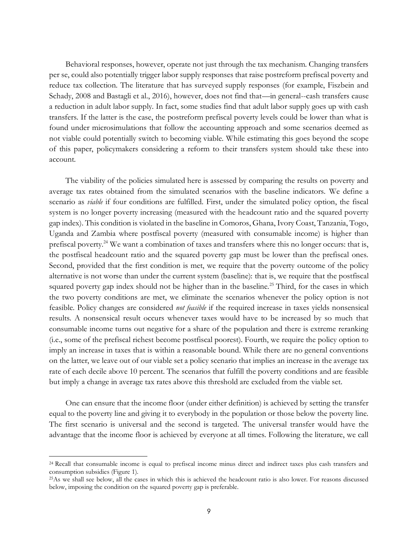Behavioral responses, however, operate not just through the tax mechanism. Changing transfers per se, could also potentially trigger labor supply responses that raise postreform prefiscal poverty and reduce tax collection. The literature that has surveyed supply responses (for example, Fiszbein and Schady, 2008 and Bastagli et al., 2016), however, does not find that—in general--cash transfers cause a reduction in adult labor supply. In fact, some studies find that adult labor supply goes up with cash transfers. If the latter is the case, the postreform prefiscal poverty levels could be lower than what is found under microsimulations that follow the accounting approach and some scenarios deemed as not viable could potentially switch to becoming viable. While estimating this goes beyond the scope of this paper, policymakers considering a reform to their transfers system should take these into account.

The viability of the policies simulated here is assessed by comparing the results on poverty and average tax rates obtained from the simulated scenarios with the baseline indicators. We define a scenario as *viable* if four conditions are fulfilled. First, under the simulated policy option, the fiscal system is no longer poverty increasing (measured with the headcount ratio and the squared poverty gap index). This condition is violated in the baseline in Comoros, Ghana, Ivory Coast, Tanzania, Togo, Uganda and Zambia where postfiscal poverty (measured with consumable income) is higher than prefiscal poverty.<sup>24</sup> We want a combination of taxes and transfers where this no longer occurs: that is, the postfiscal headcount ratio and the squared poverty gap must be lower than the prefiscal ones. Second, provided that the first condition is met, we require that the poverty outcome of the policy alternative is not worse than under the current system (baseline): that is, we require that the postfiscal squared poverty gap index should not be higher than in the baseline.<sup>25</sup> Third, for the cases in which the two poverty conditions are met, we eliminate the scenarios whenever the policy option is not feasible. Policy changes are considered *not feasible* if the required increase in taxes yields nonsensical results. A nonsensical result occurs whenever taxes would have to be increased by so much that consumable income turns out negative for a share of the population and there is extreme reranking (i.e., some of the prefiscal richest become postfiscal poorest). Fourth, we require the policy option to imply an increase in taxes that is within a reasonable bound. While there are no general conventions on the latter, we leave out of our viable set a policy scenario that implies an increase in the average tax rate of each decile above 10 percent. The scenarios that fulfill the poverty conditions and are feasible but imply a change in average tax rates above this threshold are excluded from the viable set.

One can ensure that the income floor (under either definition) is achieved by setting the transfer equal to the poverty line and giving it to everybody in the population or those below the poverty line. The first scenario is universal and the second is targeted. The universal transfer would have the advantage that the income floor is achieved by everyone at all times. Following the literature, we call

<sup>24</sup> Recall that consumable income is equal to prefiscal income minus direct and indirect taxes plus cash transfers and consumption subsidies (Figure 1).

<sup>25</sup>As we shall see below, all the cases in which this is achieved the headcount ratio is also lower. For reasons discussed below, imposing the condition on the squared poverty gap is preferable.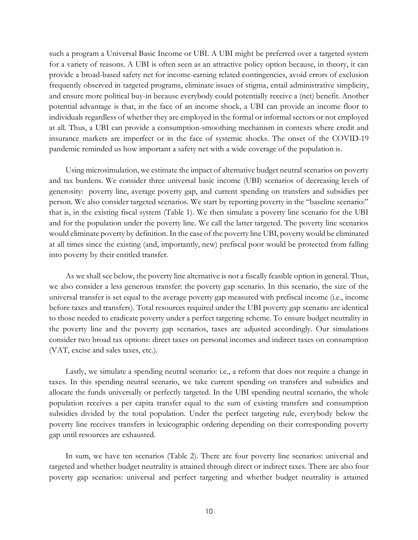such a program a Universal Basic Income or UBI. A UBI might be preferred over a targeted system for a variety of reasons. A UBI is often seen as an attractive policy option because, in theory, it can provide a broad-based safety net for income-earning related contingencies, avoid errors of exclusion frequently observed in targeted programs, eliminate issues of stigma, entail administrative simplicity, and ensure more political buy-in because everybody could potentially receive a (net) benefit. Another potential advantage is that, in the face of an income shock, a UBI can provide an income floor to individuals regardless of whether they are employed in the formal or informal sectors or not employed at all. Thus, a UBI can provide a consumption-smoothing mechanism in contexts where credit and insurance markets are imperfect or in the face of systemic shocks. The onset of the COVID-19 pandemic reminded us how important a safety net with a wide coverage of the population is.

Using microsimulation, we estimate the impact of alternative budget neutral scenarios on poverty and tax burdens. We consider three universal basic income (UBI) scenarios of decreasing levels of generosity: poverty line, average poverty gap, and current spending on transfers and subsidies per person. We also consider targeted scenarios. We start by reporting poverty in the "baseline scenario:" that is, in the existing fiscal system (Table 1). We then simulate a poverty line scenario for the UBI and for the population under the poverty line. We call the latter targeted. The poverty line scenarios would eliminate poverty by definition. In the case of the poverty line UBI, poverty would be eliminated at all times since the existing (and, importantly, new) prefiscal poor would be protected from falling into poverty by their entitled transfer.

As we shall see below, the poverty line alternative is not a fiscally feasible option in general. Thus, we also consider a less generous transfer: the poverty gap scenario. In this scenario, the size of the universal transfer is set equal to the average poverty gap measured with prefiscal income (i.e., income before taxes and transfers). Total resources required under the UBI poverty gap scenario are identical to those needed to eradicate poverty under a perfect targeting scheme. To ensure budget neutrality in the poverty line and the poverty gap scenarios, taxes are adjusted accordingly. Our simulations consider two broad tax options: direct taxes on personal incomes and indirect taxes on consumption (VAT, excise and sales taxes, etc.).

Lastly, we simulate a spending neutral scenario: i.e., a reform that does not require a change in taxes. In this spending neutral scenario, we take current spending on transfers and subsidies and allocate the funds universally or perfectly targeted. In the UBI spending neutral scenario, the whole population receives a per capita transfer equal to the sum of existing transfers and consumption subsidies divided by the total population. Under the perfect targeting rule, everybody below the poverty line receives transfers in lexicographic ordering depending on their corresponding poverty gap until resources are exhausted.

In sum, we have ten scenarios (Table 2). There are four poverty line scenarios: universal and targeted and whether budget neutrality is attained through direct or indirect taxes. There are also four poverty gap scenarios: universal and perfect targeting and whether budget neutrality is attained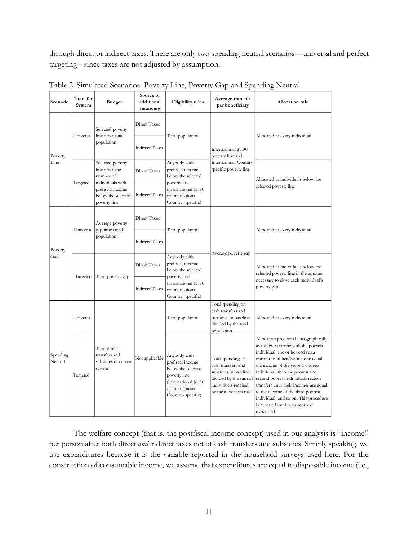through direct or indirect taxes. There are only two spending neutral scenarios—universal and perfect targeting-- since taxes are not adjusted by assumption.

| Scenario            | Transfer<br>System | <b>Budget</b>                                                              | Source of<br>additional<br>financing | <b>Eligibility</b> rules                                                                                                                 | Average transfer<br>per beneficiary                                                                                                        | Allocation rule                                                                                                                                                                                                                                                                                                                                                                                                                                    |
|---------------------|--------------------|----------------------------------------------------------------------------|--------------------------------------|------------------------------------------------------------------------------------------------------------------------------------------|--------------------------------------------------------------------------------------------------------------------------------------------|----------------------------------------------------------------------------------------------------------------------------------------------------------------------------------------------------------------------------------------------------------------------------------------------------------------------------------------------------------------------------------------------------------------------------------------------------|
|                     | Universal          | Selected poverty<br>line times total                                       | Direct Taxes                         | Total population                                                                                                                         |                                                                                                                                            | Allocated to every individual                                                                                                                                                                                                                                                                                                                                                                                                                      |
| Poverty             |                    | population                                                                 | <b>Indirect Taxes</b>                |                                                                                                                                          | International \$1.90<br>poverty line and                                                                                                   |                                                                                                                                                                                                                                                                                                                                                                                                                                                    |
| Line                |                    | Selected poverty<br>line times the<br>number of                            | Direct Taxes                         | Anybody with<br>prefiscal income<br>below the selected                                                                                   | International Country-<br>specific poverty line                                                                                            | Allocated to individuals below the                                                                                                                                                                                                                                                                                                                                                                                                                 |
|                     | Targeted           | individuals with<br>prefiscal income<br>below the selected<br>poverty line | <b>Indirect Taxes</b>                | poverty line<br>(International \$1.90<br>or International<br>Country-specific)                                                           |                                                                                                                                            | selected poverty line                                                                                                                                                                                                                                                                                                                                                                                                                              |
| Universal           |                    | Average poverty<br>gap times total                                         | Direct Taxes                         | Total population                                                                                                                         |                                                                                                                                            | Allocated to every individual                                                                                                                                                                                                                                                                                                                                                                                                                      |
| Poverty             |                    | population                                                                 | <b>Indirect Taxes</b>                |                                                                                                                                          | Average poverty gap                                                                                                                        |                                                                                                                                                                                                                                                                                                                                                                                                                                                    |
| Gap                 | Targeted           | Total poverty gap                                                          | Direct Taxes                         | Anybody with<br>prefiscal income<br>below the selected<br>poverty line                                                                   |                                                                                                                                            | Allocated to individuals below the<br>selected poverty line in the amount                                                                                                                                                                                                                                                                                                                                                                          |
|                     |                    |                                                                            | <b>Indirect Taxes</b>                | (International \$1.90<br>or International<br>Country-specific)                                                                           |                                                                                                                                            | necessary to close each individual's<br>poverty gap                                                                                                                                                                                                                                                                                                                                                                                                |
|                     | Universal          |                                                                            |                                      | Total population                                                                                                                         | Total spending on<br>cash transfers and<br>subsidies in baseline<br>divided by the total<br>population                                     | Allocated to every individual                                                                                                                                                                                                                                                                                                                                                                                                                      |
| Spending<br>Neutral | Targeted           | Total direct<br>transfers and<br>subsidies in current<br>system            | Not applicable                       | Anybody with<br>prefiscal income<br>below the selected<br>poverty line<br>(International \$1.90<br>or International<br>Country-specific) | Total spending on<br>cash transfers and<br>subsidies in baseline<br>divided by the sum of<br>individuals reached<br>by the allocation rule | Allocation proceeds lexicographically<br>as follows: starting with the poorest<br>individual, she or he receives a<br>transfer until her/his income equals<br>the income of the second poorest<br>individual; then the poorest and<br>second poorest individuals receive<br>transfers until their incomes are equal<br>to the income of the third poorest<br>individual, and so on. This procedure<br>is repeated until resources are<br>exhausted |

Table 2. Simulated Scenarios: Poverty Line, Poverty Gap and Spending Neutral

The welfare concept (that is, the postfiscal income concept) used in our analysis is "income" per person after both direct *and* indirect taxes net of cash transfers and subsidies. Strictly speaking, we use expenditures because it is the variable reported in the household surveys used here. For the construction of consumable income, we assume that expenditures are equal to disposable income (i.e.,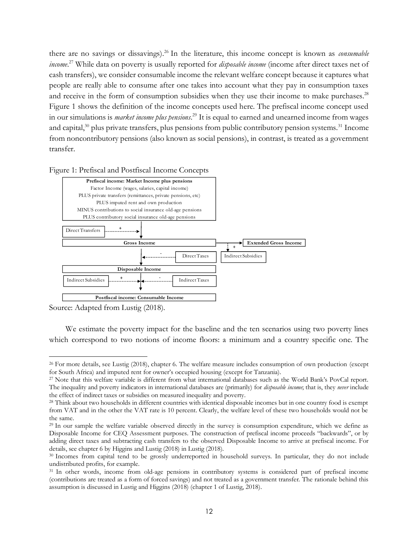there are no savings or dissavings).<sup>26</sup> In the literature, this income concept is known as *consumable income*. <sup>27</sup> While data on poverty is usually reported for *disposable income* (income after direct taxes net of cash transfers), we consider consumable income the relevant welfare concept because it captures what people are really able to consume after one takes into account what they pay in consumption taxes and receive in the form of consumption subsidies when they use their income to make purchases.<sup>28</sup> Figure 1 shows the definition of the income concepts used here. The prefiscal income concept used in our simulations is *market income plus pensions*. <sup>29</sup> It is equal to earned and unearned income from wages and capital,<sup>30</sup> plus private transfers, plus pensions from public contributory pension systems.<sup>31</sup> Income from noncontributory pensions (also known as social pensions), in contrast, is treated as a government transfer.





Source: Adapted from Lustig (2018).

We estimate the poverty impact for the baseline and the ten scenarios using two poverty lines which correspond to two notions of income floors: a minimum and a country specific one. The

<sup>&</sup>lt;sup>26</sup> For more details, see Lustig (2018), chapter 6. The welfare measure includes consumption of own production (except for South Africa) and imputed rent for owner's occupied housing (except for Tanzania).

<sup>27</sup> Note that this welfare variable is different from what international databases such as the World Bank's PovCal report. The inequality and poverty indicators in international databases are (primarily) for *disposable income*; that is, they *never* include the effect of indirect taxes or subsidies on measured inequality and poverty.

<sup>28</sup> Think about two households in different countries with identical disposable incomes but in one country food is exempt from VAT and in the other the VAT rate is 10 percent. Clearly, the welfare level of these two households would not be the same.

<sup>29</sup> In our sample the welfare variable observed directly in the survey is consumption expenditure, which we define as Disposable Income for CEQ Assessment purposes. The construction of prefiscal income proceeds "backwards", or by adding direct taxes and subtracting cash transfers to the observed Disposable Income to arrive at prefiscal income. For details, see chapter 6 by Higgins and Lustig (2018) in Lustig (2018).

<sup>30</sup> Incomes from capital tend to be grossly underreported in household surveys. In particular, they do not include undistributed profits, for example.

<sup>&</sup>lt;sup>31</sup> In other words, income from old-age pensions in contributory systems is considered part of prefiscal income (contributions are treated as a form of forced savings) and not treated as a government transfer. The rationale behind this assumption is discussed in Lustig and Higgins (2018) (chapter 1 of Lustig, 2018).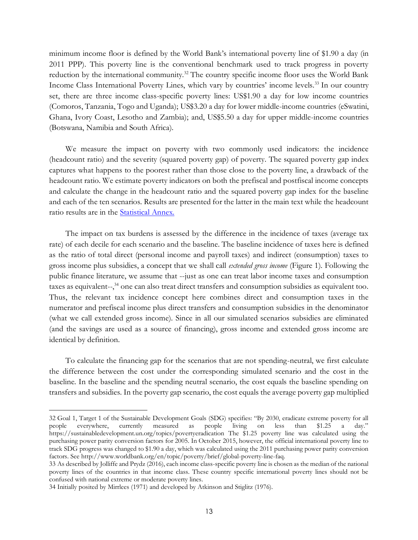minimum income floor is defined by the World Bank's international poverty line of \$1.90 a day (in 2011 PPP). This poverty line is the conventional benchmark used to track progress in poverty reduction by the international community.<sup>32</sup> The country specific income floor uses the World Bank Income Class International Poverty Lines, which vary by countries' income levels.<sup>33</sup> In our country set, there are three income class-specific poverty lines: US\$1.90 a day for low income countries (Comoros, Tanzania, Togo and Uganda); US\$3.20 a day for lower middle-income countries (eSwatini, Ghana, Ivory Coast, Lesotho and Zambia); and, US\$5.50 a day for upper middle-income countries (Botswana, Namibia and South Africa).

We measure the impact on poverty with two commonly used indicators: the incidence (headcount ratio) and the severity (squared poverty gap) of poverty. The squared poverty gap index captures what happens to the poorest rather than those close to the poverty line, a drawback of the headcount ratio. We estimate poverty indicators on both the prefiscal and postfiscal income concepts and calculate the change in the headcount ratio and the squared poverty gap index for the baseline and each of the ten scenarios. Results are presented for the latter in the main text while the headcount ratio results are in the [Statistical Annex.](http://commitmentoequity.org/wp-content/uploads/2021/03/Statistical-Annex-of-Are-Budget-Neutral-Income-Floors-Fiscally-Viable-in-Sub-Saharan-Africa.pdf)

The impact on tax burdens is assessed by the difference in the incidence of taxes (average tax rate) of each decile for each scenario and the baseline. The baseline incidence of taxes here is defined as the ratio of total direct (personal income and payroll taxes) and indirect (consumption) taxes to gross income plus subsidies, a concept that we shall call *extended gross income* (Figure 1). Following the public finance literature, we assume that --just as one can treat labor income taxes and consumption taxes as equivalent--,<sup>34</sup> one can also treat direct transfers and consumption subsidies as equivalent too. Thus, the relevant tax incidence concept here combines direct and consumption taxes in the numerator and prefiscal income plus direct transfers and consumption subsidies in the denominator (what we call extended gross income). Since in all our simulated scenarios subsidies are eliminated (and the savings are used as a source of financing), gross income and extended gross income are identical by definition.

To calculate the financing gap for the scenarios that are not spending-neutral, we first calculate the difference between the cost under the corresponding simulated scenario and the cost in the baseline. In the baseline and the spending neutral scenario, the cost equals the baseline spending on transfers and subsidies. In the poverty gap scenario, the cost equals the average poverty gap multiplied

<sup>32</sup> Goal 1, Target 1 of the Sustainable Development Goals (SDG) specifies: "By 2030, eradicate extreme poverty for all people everywhere, currently measured as people living on less than \$1.25 a day." <https://sustainabledevelopment.un.org/topics/povertyeradication> The \$1.25 poverty line was calculated using the purchasing power parity conversion factors for 2005. In October 2015, however, the official international poverty line to track SDG progress was changed to \$1.90 a day, which was calculated using the 2011 purchasing power parity conversion factors. See [http://www.worldbank.org/en/topic/poverty/brief/global-poverty-line-faq.](http://www.worldbank.org/en/topic/poverty/brief/global-poverty-line-faq)

<sup>33</sup> As described by Jolliffe and Prydz (2016), each income class-specific poverty line is chosen as the median of the national poverty lines of the countries in that income class. These country specific international poverty lines should not be confused with national extreme or moderate poverty lines.

<sup>34</sup> Initially posited by Mirrlees (1971) and developed by Atkinson and Stiglitz (1976).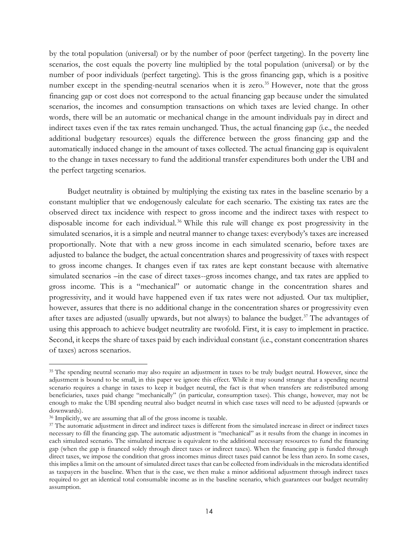by the total population (universal) or by the number of poor (perfect targeting). In the poverty line scenarios, the cost equals the poverty line multiplied by the total population (universal) or by the number of poor individuals (perfect targeting). This is the gross financing gap, which is a positive number except in the spending-neutral scenarios when it is zero.<sup>35</sup> However, note that the gross financing gap or cost does not correspond to the actual financing gap because under the simulated scenarios, the incomes and consumption transactions on which taxes are levied change. In other words, there will be an automatic or mechanical change in the amount individuals pay in direct and indirect taxes even if the tax rates remain unchanged. Thus, the actual financing gap (i.e., the needed additional budgetary resources) equals the difference between the gross financing gap and the automatically induced change in the amount of taxes collected. The actual financing gap is equivalent to the change in taxes necessary to fund the additional transfer expenditures both under the UBI and the perfect targeting scenarios.

Budget neutrality is obtained by multiplying the existing tax rates in the baseline scenario by a constant multiplier that we endogenously calculate for each scenario. The existing tax rates are the observed direct tax incidence with respect to gross income and the indirect taxes with respect to disposable income for each individual.<sup>36</sup> While this rule will change ex post progressivity in the simulated scenarios, it is a simple and neutral manner to change taxes: everybody's taxes are increased proportionally. Note that with a new gross income in each simulated scenario, before taxes are adjusted to balance the budget, the actual concentration shares and progressivity of taxes with respect to gross income changes. It changes even if tax rates are kept constant because with alternative simulated scenarios –in the case of direct taxes--gross incomes change, and tax rates are applied to gross income. This is a "mechanical" or automatic change in the concentration shares and progressivity, and it would have happened even if tax rates were not adjusted. Our tax multiplier, however, assures that there is no additional change in the concentration shares or progressivity even after taxes are adjusted (usually upwards, but not always) to balance the budget.<sup>37</sup> The advantages of using this approach to achieve budget neutrality are twofold. First, it is easy to implement in practice. Second, it keeps the share of taxes paid by each individual constant (i.e., constant concentration shares of taxes) across scenarios.

<sup>&</sup>lt;sup>35</sup> The spending neutral scenario may also require an adjustment in taxes to be truly budget neutral. However, since the adjustment is bound to be small, in this paper we ignore this effect. While it may sound strange that a spending neutral scenario requires a change in taxes to keep it budget neutral, the fact is that when transfers are redistributed among beneficiaries, taxes paid change "mechanically" (in particular, consumption taxes). This change, however, may not be enough to make the UBI spending neutral also budget neutral in which case taxes will need to be adjusted (upwards or downwards).

<sup>36</sup> Implicitly, we are assuming that all of the gross income is taxable.

<sup>37</sup> The automatic adjustment in direct and indirect taxes is different from the simulated increase in direct or indirect taxes necessary to fill the financing gap. The automatic adjustment is "mechanical" as it results from the change in incomes in each simulated scenario. The simulated increase is equivalent to the additional necessary resources to fund the financing gap (when the gap is financed solely through direct taxes or indirect taxes). When the financing gap is funded through direct taxes, we impose the condition that gross incomes minus direct taxes paid cannot be less than zero. In some cases, this implies a limit on the amount of simulated direct taxes that can be collected from individuals in the microdata identified as taxpayers in the baseline. When that is the case, we then make a minor additional adjustment through indirect taxes required to get an identical total consumable income as in the baseline scenario, which guarantees our budget neutrality assumption.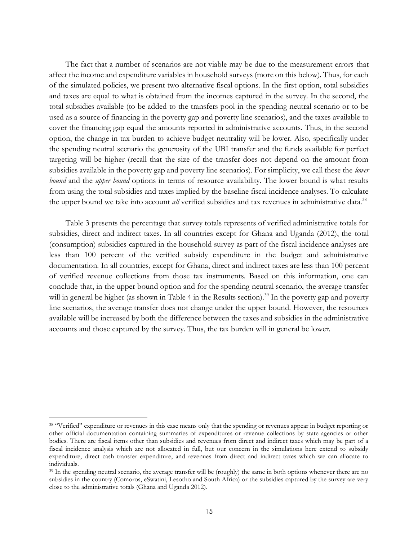The fact that a number of scenarios are not viable may be due to the measurement errors that affect the income and expenditure variables in household surveys (more on this below). Thus, for each of the simulated policies, we present two alternative fiscal options. In the first option, total subsidies and taxes are equal to what is obtained from the incomes captured in the survey. In the second, the total subsidies available (to be added to the transfers pool in the spending neutral scenario or to be used as a source of financing in the poverty gap and poverty line scenarios), and the taxes available to cover the financing gap equal the amounts reported in administrative accounts. Thus, in the second option, the change in tax burden to achieve budget neutrality will be lower. Also, specifically under the spending neutral scenario the generosity of the UBI transfer and the funds available for perfect targeting will be higher (recall that the size of the transfer does not depend on the amount from subsidies available in the poverty gap and poverty line scenarios). For simplicity, we call these the *lower bound* and the *upper bound* options in terms of resource availability. The lower bound is what results from using the total subsidies and taxes implied by the baseline fiscal incidence analyses. To calculate the upper bound we take into account *all* verified subsidies and tax revenues in administrative data.<sup>38</sup>

Table 3 presents the percentage that survey totals represents of verified administrative totals for subsidies, direct and indirect taxes. In all countries except for Ghana and Uganda (2012), the total (consumption) subsidies captured in the household survey as part of the fiscal incidence analyses are less than 100 percent of the verified subsidy expenditure in the budget and administrative documentation. In all countries, except for Ghana, direct and indirect taxes are less than 100 percent of verified revenue collections from those tax instruments. Based on this information, one can conclude that, in the upper bound option and for the spending neutral scenario, the average transfer will in general be higher (as shown in Table 4 in the Results section).<sup>39</sup> In the poverty gap and poverty line scenarios, the average transfer does not change under the upper bound. However, the resources available will be increased by both the difference between the taxes and subsidies in the administrative accounts and those captured by the survey. Thus, the tax burden will in general be lower.

<sup>&</sup>lt;sup>38</sup> "Verified" expenditure or revenues in this case means only that the spending or revenues appear in budget reporting or other official documentation containing summaries of expenditures or revenue collections by state agencies or other bodies. There are fiscal items other than subsidies and revenues from direct and indirect taxes which may be part of a fiscal incidence analysis which are not allocated in full, but our concern in the simulations here extend to subsidy expenditure, direct cash transfer expenditure, and revenues from direct and indirect taxes which we can allocate to individuals.

<sup>&</sup>lt;sup>39</sup> In the spending neutral scenario, the average transfer will be (roughly) the same in both options whenever there are no subsidies in the country (Comoros, eSwatini, Lesotho and South Africa) or the subsidies captured by the survey are very close to the administrative totals (Ghana and Uganda 2012).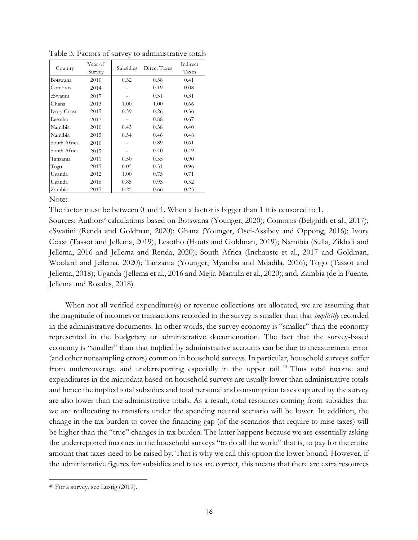| Country            | Year of<br>Survey | Subsidies | Direct Taxes | Indirect<br>Taxes |
|--------------------|-------------------|-----------|--------------|-------------------|
| Botswana           | 2010              | 0.32      | 0.58         | 0.41              |
| Comoros            | 2014              |           | 0.19         | 0.08              |
| eSwatini           | 2017              |           | 0.31         | 0.31              |
| Ghana              | 2013              | 1.00      | 1.00         | 0.66              |
| <b>Ivory Coast</b> | 2015              | 0.59      | 0.26         | 0.36              |
| Lesotho            | 2017              |           | 0.88         | 0.67              |
| Namibia            | 2010              | 0.43      | 0.38         | 0.40              |
| Namibia            | 2015              | 0.54      | 0.46         | 0.48              |
| South Africa       | 2010              |           | 0.89         | 0.61              |
| South Africa       | 2015              |           | 0.40         | 0.49              |
| Tanzania           | 2011              | 0.50      | 0.55         | 0.90              |
| Togo               | 2015              | 0.05      | 0.31         | 0.96              |
| Uganda             | 2012              | 1.00      | 0.75         | 0.71              |
| Uganda             | 2016              | 0.85      | 0.93         | 0.52              |
| Zambia             | 2015              | 0.25      | 0.66         | 0.23              |

Table 3. Factors of survey to administrative totals

Note:

The factor must be between 0 and 1. When a factor is bigger than 1 it is censored to 1.

Sources: Authors' calculations based on Botswana (Younger, 2020); Comoros (Belghith et al., 2017); eSwatini (Renda and Goldman, 2020); Ghana (Younger, Osei-Assibey and Oppong, 2016); Ivory Coast (Tassot and Jellema, 2019); Lesotho (Houts and Goldman, 2019); Namibia (Sulla, Zikhali and Jellema, 2016 and Jellema and Renda, 2020); South Africa (Inchauste et al., 2017 and Goldman, Woolard and Jellema, 2020); Tanzania (Younger, Myamba and Mdadila, 2016); Togo (Tassot and Jellema, 2018); Uganda (Jellema et al., 2016 and Mejia-Mantilla et al., 2020); and, Zambia (de la Fuente, Jellema and Rosales, 2018).

When not all verified expenditure(s) or revenue collections are allocated, we are assuming that the magnitude of incomes or transactions recorded in the survey is smaller than that *implicitly* recorded in the administrative documents. In other words, the survey economy is "smaller" than the economy represented in the budgetary or administrative documentation. The fact that the survey-based economy is "smaller" than that implied by administrative accounts can be due to measurement error (and other nonsampling errors) common in household surveys. In particular, household surveys suffer from undercoverage and underreporting especially in the upper tail. <sup>40</sup> Thus total income and expenditures in the microdata based on household surveys are usually lower than administrative totals and hence the implied total subsidies and total personal and consumption taxes captured by the survey are also lower than the administrative totals. As a result, total resources coming from subsidies that we are reallocating to transfers under the spending neutral scenario will be lower. In addition, the change in the tax burden to cover the financing gap (of the scenarios that require to raise taxes) will be higher than the "true" changes in tax burden. The latter happens because we are essentially asking the underreported incomes in the household surveys "to do all the work:" that is, to pay for the entire amount that taxes need to be raised by. That is why we call this option the lower bound. However, if the administrative figures for subsidies and taxes are correct, this means that there are extra resources

<sup>40</sup> For a survey, see Lustig (2019).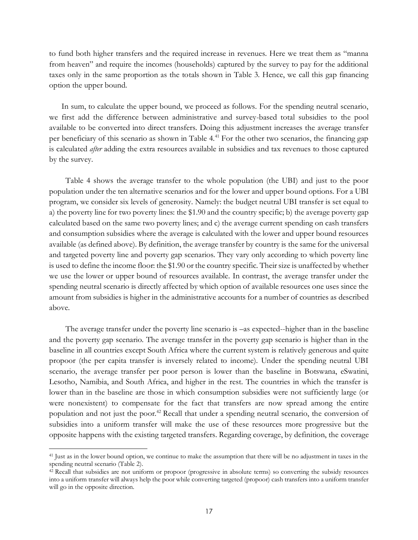to fund both higher transfers and the required increase in revenues. Here we treat them as "manna from heaven" and require the incomes (households) captured by the survey to pay for the additional taxes only in the same proportion as the totals shown in Table 3. Hence, we call this gap financing option the upper bound.

In sum, to calculate the upper bound, we proceed as follows. For the spending neutral scenario, we first add the difference between administrative and survey-based total subsidies to the pool available to be converted into direct transfers. Doing this adjustment increases the average transfer per beneficiary of this scenario as shown in Table 4.<sup>41</sup> For the other two scenarios, the financing gap is calculated *after* adding the extra resources available in subsidies and tax revenues to those captured by the survey.

Table 4 shows the average transfer to the whole population (the UBI) and just to the poor population under the ten alternative scenarios and for the lower and upper bound options. For a UBI program, we consider six levels of generosity. Namely: the budget neutral UBI transfer is set equal to a) the poverty line for two poverty lines: the \$1.90 and the country specific; b) the average poverty gap calculated based on the same two poverty lines; and c) the average current spending on cash transfers and consumption subsidies where the average is calculated with the lower and upper bound resources available (as defined above). By definition, the average transfer by country is the same for the universal and targeted poverty line and poverty gap scenarios. They vary only according to which poverty line is used to define the income floor: the \$1.90 or the country specific. Their size is unaffected by whether we use the lower or upper bound of resources available. In contrast, the average transfer under the spending neutral scenario is directly affected by which option of available resources one uses since the amount from subsidies is higher in the administrative accounts for a number of countries as described above.

The average transfer under the poverty line scenario is –as expected--higher than in the baseline and the poverty gap scenario. The average transfer in the poverty gap scenario is higher than in the baseline in all countries except South Africa where the current system is relatively generous and quite propoor (the per capita transfer is inversely related to income). Under the spending neutral UBI scenario, the average transfer per poor person is lower than the baseline in Botswana, eSwatini, Lesotho, Namibia, and South Africa, and higher in the rest. The countries in which the transfer is lower than in the baseline are those in which consumption subsidies were not sufficiently large (or were nonexistent) to compensate for the fact that transfers are now spread among the entire population and not just the poor.<sup>42</sup> Recall that under a spending neutral scenario, the conversion of subsidies into a uniform transfer will make the use of these resources more progressive but the opposite happens with the existing targeted transfers. Regarding coverage, by definition, the coverage

<sup>41</sup> Just as in the lower bound option, we continue to make the assumption that there will be no adjustment in taxes in the spending neutral scenario (Table 2).

<sup>42</sup> Recall that subsidies are not uniform or propoor (progressive in absolute terms) so converting the subsidy resources into a uniform transfer will always help the poor while converting targeted (propoor) cash transfers into a uniform transfer will go in the opposite direction.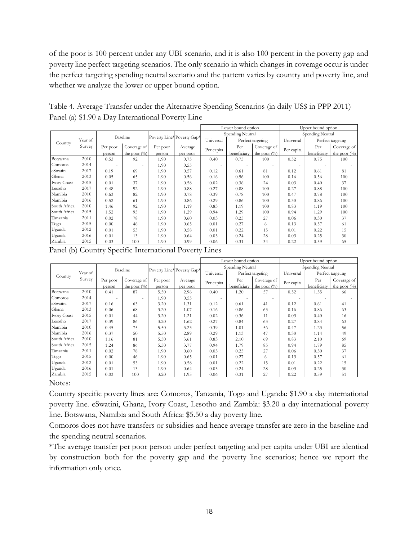of the poor is 100 percent under any UBI scenario, and it is also 100 percent in the poverty gap and poverty line perfect targeting scenarios. The only scenario in which changes in coverage occur is under the perfect targeting spending neutral scenario and the pattern varies by country and poverty line, and whether we analyze the lower or upper bound option.

Table 4. Average Transfer under the Alternative Spending Scenarios (in daily US\$ in PPP 2011) Panel (a) \$1.90 a Day International Poverty Line

|              |         |          |                 |          |                            |            | Lower bound option |                 |            | Upper bound option |                   |  |  |
|--------------|---------|----------|-----------------|----------|----------------------------|------------|--------------------|-----------------|------------|--------------------|-------------------|--|--|
|              |         |          | Baseline        |          | Poverty Line* Poverty Gap* |            | Spending Neutral   |                 |            | Spending Neutral   |                   |  |  |
| Country      | Year of |          |                 |          |                            | Universal  | Perfect targeting  |                 | Universal  |                    | Perfect targeting |  |  |
|              | Survey  | Per poor | Coverage of     | Per poor | Average                    | Per capita | Per                | Coverage of     | Per capita | Per                | Coverage of       |  |  |
|              |         | person   | the poor $(\%)$ | person   | per poor                   |            | beneficiary        | the poor $(\%)$ |            | beneficiary        | the poor $(\%)$   |  |  |
| Botswana     | 2010    | 0.53     | 92              | 1.90     | 0.75                       | 0.40       | 0.75               | 100             | 0.52       | 0.75               | 100               |  |  |
| Comoros      | 2014    | $\sim$   | ٠               | 1.90     | 0.55                       | $\sim$     | $\sim$             | $\sim$          | $\sim$     |                    |                   |  |  |
| eSwatini     | 2017    | 0.19     | 69              | 1.90     | 0.57                       | 0.12       | 0.61               | 81              | 0.12       | 0.61               | 81                |  |  |
| Ghana        | 2013    | 0.05     | 65              | 1.90     | 0.56                       | 0.16       | 0.56               | 100             | 0.16       | 0.56               | 100               |  |  |
| Ivory Coast  | 2015    | 0.01     | 37              | 1.90     | 0.58                       | 0.02       | 0.36               | 24              | 0.03       | 0.40               | 37                |  |  |
| Lesotho      | 2017    | 0.48     | 92              | 1.90     | 0.88                       | 0.27       | 0.88               | 100             | 0.27       | 0.88               | 100               |  |  |
| Namibia      | 2010    | 0.63     | 82              | 1.90     | 0.78                       | 0.39       | 0.78               | 100             | 0.47       | 0.78               | 100               |  |  |
| Namibia      | 2016    | 0.52     | 61              | 1.90     | 0.86                       | 0.29       | 0.86               | 100             | 0.30       | 0.86               | 100               |  |  |
| South Africa | 2010    | 1.46     | 92              | 1.90     | 1.19                       | 0.83       | 1.19               | 100             | 0.83       | 1.19               | 100               |  |  |
| South Africa | 2015    | 1.52     | 95              | 1.90     | 1.29                       | 0.94       | 1.29               | 100             | 0.94       | 1.29               | 100               |  |  |
| Tanzania     | 2011    | 0.02     | 78              | 1.90     | 0.60                       | 0.03       | 0.25               | 27              | 0.06       | 0.30               | 37                |  |  |
| Togo         | 2015    | 0.00     | 46              | 1.90     | 0.65                       | 0.01       | 0.27               | 6               | 0.13       | 0.57               | 61                |  |  |
| Uganda       | 2012    | 0.01     | 53              | 1.90     | 0.58                       | 0.01       | 0.22               | 15              | 0.01       | 0.22               | 15                |  |  |
| Uganda       | 2016    | 0.01     | 13              | 1.90     | 0.64                       | 0.03       | 0.24               | 28              | 0.03       | 0.25               | 30                |  |  |
| Zambia       | 2015    | 0.03     | 100             | 1.90     | 0.99                       | 0.06       | 0.31               | 34              | 0.22       | 0.59               | 65                |  |  |

Panel (b) Country Specific International Poverty Lines

|                    |         |          |                          |          |                            | Lower bound option |                   |                          | Upper bound option |             |                   |  |
|--------------------|---------|----------|--------------------------|----------|----------------------------|--------------------|-------------------|--------------------------|--------------------|-------------|-------------------|--|
|                    |         |          | Baseline                 |          | Poverty Line* Poverty Gap* |                    | Spending Neutral  |                          | Spending Neutral   |             |                   |  |
| Country            | Year of |          |                          |          |                            | Universal          | Perfect targeting |                          | Universal          |             | Perfect targeting |  |
|                    | Survey  | Per poor | Coverage of              | Per poor | Average                    | Per capita         | Per               | Coverage of              | Per capita         | Per         | Coverage of       |  |
|                    |         | person   | the poor $(\%)$          | person   | per poor                   |                    | beneficiary       | the poor $(\%)$          |                    | beneficiary | the poor $(\%)$   |  |
| Botswana           | 2010    | 0.41     | 87                       | 5.50     | 2.96                       | 0.40               | 1.20              | 57                       | 0.52               | 1.35        | 66                |  |
| Comoros            | 2014    | $\sim$   | $\overline{\phantom{a}}$ | 1.90     | 0.55                       | $\sim$             | $\sim$            | $\overline{\phantom{a}}$ | $\sim$             |             |                   |  |
| eSwatini           | 2017    | 0.16     | 63                       | 3.20     | 1.31                       | 0.12               | 0.61              | 41                       | 0.12               | 0.61        | 41                |  |
| Ghana              | 2013    | 0.06     | 68                       | 3.20     | 1.07                       | 0.16               | 0.86              | 63                       | 0.16               | 0.86        | 63                |  |
| <b>Ivory Coast</b> | 2015    | 0.01     | 44                       | 3.20     | 1.21                       | 0.02               | 0.36              | 11                       | 0.03               | 0.40        | 16                |  |
| Lesotho            | 2017    | 0.39     | 86                       | 3.20     | 1.62                       | 0.27               | 0.84              | 63                       | 0.27               | 0.84        | 63                |  |
| Namibia            | 2010    | 0.45     | 75                       | 5.50     | 3.23                       | 0.39               | 1.01              | 56                       | 0.47               | 1.23        | 56                |  |
| Namibia            | 2016    | 0.37     | 50                       | 5.50     | 2.89                       | 0.29               | 1.13              | 47                       | 0.30               | 1.14        | 49                |  |
| South Africa       | 2010    | 1.16     | 81                       | 5.50     | 3.61                       | 0.83               | 2.10              | 69                       | 0.83               | 2.10        | 69                |  |
| South Africa       | 2015    | 1.24     | 86                       | 5.50     | 3.77                       | 0.94               | 1.79              | 85                       | 0.94               | 1.79        | 85                |  |
| Tanzania           | 2011    | 0.02     | 78                       | 1.90     | 0.60                       | 0.03               | 0.25              | 27                       | 0.06               | 0.30        | 37                |  |
| Togo               | 2015    | 0.00     | 46                       | 1.90     | 0.65                       | 0.01               | 0.27              | 6                        | 0.13               | 0.57        | 61                |  |
| Uganda             | 2012    | 0.01     | 53                       | 1.90     | 0.58                       | 0.01               | 0.22              | 15                       | 0.01               | 0.22        | 15                |  |
| Uganda             | 2016    | 0.01     | 13                       | 1.90     | 0.64                       | 0.03               | 0.24              | 28                       | 0.03               | 0.25        | 30                |  |
| Zambia             | 2015    | 0.03     | 100                      | 3.20     | 1.95                       | 0.06               | 0.31              | 27                       | 0.22               | 0.59        | 51                |  |

Notes:

Country specific poverty lines are: Comoros, Tanzania, Togo and Uganda: \$1.90 a day international poverty line. eSwatini, Ghana, Ivory Coast, Lesotho and Zambia: \$3.20 a day international poverty line. Botswana, Namibia and South Africa: \$5.50 a day poverty line.

Comoros does not have transfers or subsidies and hence average transfer are zero in the baseline and the spending neutral scenarios.

\*The average transfer per poor person under perfect targeting and per capita under UBI are identical by construction both for the poverty gap and the poverty line scenarios; hence we report the information only once.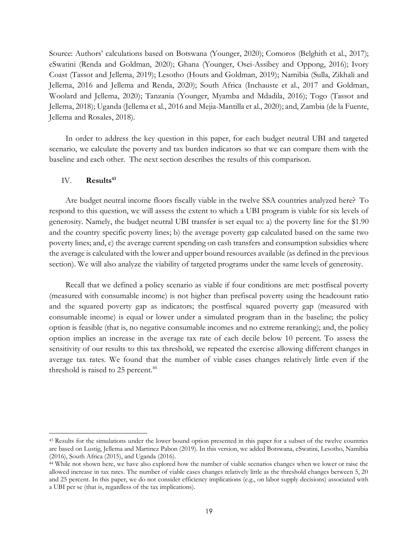Source: Authors' calculations based on Botswana (Younger, 2020); Comoros (Belghith et al., 2017); eSwatini (Renda and Goldman, 2020); Ghana (Younger, Osei-Assibey and Oppong, 2016); Ivory Coast (Tassot and Jellema, 2019); Lesotho (Houts and Goldman, 2019); Namibia (Sulla, Zikhali and Jellema, 2016 and Jellema and Renda, 2020); South Africa (Inchauste et al., 2017 and Goldman, Woolard and Jellema, 2020); Tanzania (Younger, Myamba and Mdadila, 2016); Togo (Tassot and Jellema, 2018); Uganda (Jellema et al., 2016 and Mejia-Mantilla et al., 2020); and, Zambia (de la Fuente, Jellema and Rosales, 2018).

In order to address the key question in this paper, for each budget neutral UBI and targeted scenario, we calculate the poverty and tax burden indicators so that we can compare them with the baseline and each other. The next section describes the results of this comparison.

## IV. **Results<sup>43</sup>**

Are budget neutral income floors fiscally viable in the twelve SSA countries analyzed here? To respond to this question, we will assess the extent to which a UBI program is viable for six levels of generosity. Namely, the budget neutral UBI transfer is set equal to: a) the poverty line for the \$1.90 and the country specific poverty lines; b) the average poverty gap calculated based on the same two poverty lines; and, c) the average current spending on cash transfers and consumption subsidies where the average is calculated with the lower and upper bound resources available (as defined in the previous section). We will also analyze the viability of targeted programs under the same levels of generosity.

Recall that we defined a policy scenario as viable if four conditions are met: postfiscal poverty (measured with consumable income) is not higher than prefiscal poverty using the headcount ratio and the squared poverty gap as indicators; the postfiscal squared poverty gap (measured with consumable income) is equal or lower under a simulated program than in the baseline; the policy option is feasible (that is, no negative consumable incomes and no extreme reranking); and, the policy option implies an increase in the average tax rate of each decile below 10 percent. To assess the sensitivity of our results to this tax threshold, we repeated the exercise allowing different changes in average tax rates. We found that the number of viable cases changes relatively little even if the threshold is raised to 25 percent.<sup>44</sup>

<sup>43</sup> Results for the simulations under the lower bound option presented in this paper for a subset of the twelve countries are based on Lustig, Jellema and Martinez Pabon (2019). In this version, we added Botswana, eSwatini, Lesotho, Namibia (2016), South Africa (2015), and Uganda (2016).

<sup>44</sup> While not shown here, we have also explored how the number of viable scenarios changes when we lower or raise the allowed increase in tax rates. The number of viable cases changes relatively little as the threshold changes between 5, 20 and 25 percent. In this paper, we do not consider efficiency implications (e.g., on labor supply decisions) associated with a UBI per se (that is, regardless of the tax implications).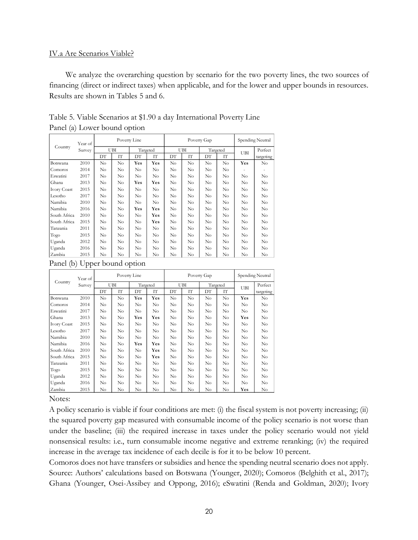## IV.a Are Scenarios Viable?

We analyze the overarching question by scenario for the two poverty lines, the two sources of financing (direct or indirect taxes) when applicable, and for the lower and upper bounds in resources. Results are shown in Tables 5 and 6.

|                    | Year of |          |          | Poverty Line |          |          | Poverty Gap |          | Spending Neutral |          |           |
|--------------------|---------|----------|----------|--------------|----------|----------|-------------|----------|------------------|----------|-----------|
| Country            | Survey  |          | UBI      |              | Targeted |          | UBI         |          | Targeted         | UBI      | Perfect   |
|                    |         | DT       | ľΤ       | DT           | IΤ       | DT       | IΤ          | DТ       | IT <sub></sub>   |          | targeting |
| Botswana           | 2010    | No       | $\rm No$ | Yes          | Yes      | No       | No          | No       | $\rm No$         | Yes      | No        |
| Comoros            | 2014    | No       | No       | No           | No       | No       | No          | No       | No               |          |           |
| Eswatini           | 2017    | No       | No       | $\rm No$     | No       | No       | No          | No       | No               | $\rm No$ | No        |
| Ghana              | 2013    | No       | No       | Yes          | Yes      | No       | No          | No       | No               | No       | No        |
| <b>Ivory Coast</b> | 2015    | No       | $\rm No$ | No           | No       | $\rm No$ | No          | No       | No               | No       | No        |
| Lesotho            | 2017    | No       | $\rm No$ | $\rm No$     | No       | $\rm No$ | No          | No       | No               | $\rm No$ | No        |
| Namibia            | 2010    | No       | No       | $\rm No$     | $\rm No$ | $\rm No$ | No          | No       | No               | $\rm No$ | No        |
| Namibia            | 2016    | $\rm No$ | $\rm No$ | Yes          | Yes      | $\rm No$ | $\rm No$    | $\rm No$ | $\rm No$         | $\rm No$ | No.       |
| South Africa       | 2010    | $\rm No$ | $\rm No$ | $\rm No$     | Yes      | $\rm No$ | $\rm No$    | $\rm No$ | $\rm No$         | $\rm No$ | No.       |
| South Africa       | 2015    | No       | $\rm No$ | $\rm No$     | Yes      | $\rm No$ | $\rm No$    | $\rm No$ | No               | $\rm No$ | $\rm No$  |
| Tanzania           | 2011    | No       | $\rm No$ | $\rm No$     | No       | No       | $\rm No$    | $\rm No$ | No               | $\rm No$ | No        |
| Togo               | 2015    | No       | $\rm No$ | $\rm No$     | $\rm No$ | $\rm No$ | $\rm No$    | $\rm No$ | No               | $\rm No$ | No        |
| Uganda             | 2012    | No       | $\rm No$ | $\rm No$     | No       | $\rm No$ | $\rm No$    | $\rm No$ | No               | $\rm No$ | No        |
| Uganda             | 2016    | No       | $\rm No$ | $\rm No$     | $\rm No$ | $\rm No$ | $\rm No$    | $\rm No$ | No               | $\rm No$ | No        |
| Zambia             | 2015    | No       | No       | $\rm No$     | $\rm No$ | $\rm No$ | No          | $\rm No$ | No               | $\rm No$ | $\rm No$  |

| Table 5. Viable Scenarios at \$1.90 a day International Poverty Line |  |
|----------------------------------------------------------------------|--|
| Panel (a) Lower bound option                                         |  |

|  |  |  |  | Panel (b) Upper bound option |
|--|--|--|--|------------------------------|
|--|--|--|--|------------------------------|

|                    | Year of | Poverty Line |                |          |          |          | Poverty Gap    | Spending Neutral |          |     |           |
|--------------------|---------|--------------|----------------|----------|----------|----------|----------------|------------------|----------|-----|-----------|
| Country            | Survey  |              | UBI            |          | Targeted |          | UBI            | Targeted         |          | UBI | Perfect   |
|                    |         | DТ           | ľГ             | DΤ       | ľГ       | DТ       | ľΤ             | DΤ               | IΤ       |     | targeting |
| Botswana           | 2010    | No           | $\rm No$       | Yes      | Yes      | No       | N <sub>0</sub> | No               | $\rm No$ | Yes | No        |
| Comoros            | 2014    | No           | No             | No       | No       | No       | No             | No               | No       | No  | No        |
| Eswatini           | 2017    | No           | N <sub>0</sub> | No       | No       | No       | No             | No               | No       | No  | No        |
| Ghana              | 2013    | No           | No             | Yes      | Yes      | No       | No             | No               | No       | Yes | No        |
| <b>Ivory Coast</b> | 2015    | No           | No             | No       | No       | No       | No             | No               | No       | No  | No        |
| Lesotho            | 2017    | No           | N <sub>0</sub> | No       | No       | No       | No             | No               | No       | No  | No        |
| Namibia            | 2010    | No           | No             | $\rm No$ | No       | No       | No             | No               | No       | No  | No        |
| Namibia            | 2016    | No           | N <sub>0</sub> | Yes      | Yes      | No       | No             | No               | No       | No  | $\rm No$  |
| South Africa       | 2010    | No           | N <sub>0</sub> | No       | Yes      | No       | No             | No               | No       | No  | $\rm No$  |
| South Africa       | 2015    | No           | No             | No       | Yes      | No       | No             | No               | No       | No  | No        |
| Tanzania           | 2011    | No           | No             | No       | No       | No       | No             | No               | No       | No  | No        |
| Togo               | 2015    | No           | N <sub>0</sub> | No       | No       | No       | No             | No               | No       | No  | No        |
| Uganda             | 2012    | No           | No             | No       | No       | No       | No             | No               | No       | No  | No        |
| Uganda             | 2016    | No           | N <sub>0</sub> | No       | No       | No       | No             | No               | No       | No  | No        |
| Zambia             | 2015    | No           | No             | $\rm No$ | No       | $\rm No$ | $\rm No$       | No               | No       | Yes | $\rm No$  |

Notes:

A policy scenario is viable if four conditions are met: (i) the fiscal system is not poverty increasing; (ii) the squared poverty gap measured with consumable income of the policy scenario is not worse than under the baseline; (iii) the required increase in taxes under the policy scenario would not yield nonsensical results: i.e., turn consumable income negative and extreme reranking; (iv) the required increase in the average tax incidence of each decile is for it to be below 10 percent.

Comoros does not have transfers or subsidies and hence the spending neutral scenario does not apply. Source: Authors' calculations based on Botswana (Younger, 2020); Comoros (Belghith et al., 2017); Ghana (Younger, Osei-Assibey and Oppong, 2016); eSwatini (Renda and Goldman, 2020); Ivory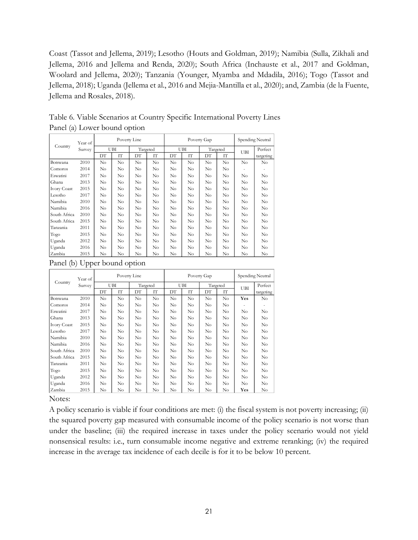Coast (Tassot and Jellema, 2019); Lesotho (Houts and Goldman, 2019); Namibia (Sulla, Zikhali and Jellema, 2016 and Jellema and Renda, 2020); South Africa (Inchauste et al., 2017 and Goldman, Woolard and Jellema, 2020); Tanzania (Younger, Myamba and Mdadila, 2016); Togo (Tassot and Jellema, 2018); Uganda (Jellema et al., 2016 and Mejia-Mantilla et al., 2020); and, Zambia (de la Fuente, Jellema and Rosales, 2018).

|                    | Year of | Poverty Line |          |          |          | Poverty Gap | Spending Neutral |          |          |          |           |
|--------------------|---------|--------------|----------|----------|----------|-------------|------------------|----------|----------|----------|-----------|
| Country            | Survey  | UBI          |          |          | Targeted |             | UBI              |          | Targeted |          | Perfect   |
|                    |         | DT           | ľГ       | DТ       | IΤ       | DТ          | ľΤ               | DТ       | IΤ       | UBI      | targeting |
| Botswana           | 2010    | $\rm No$     | $\rm No$ | $\rm No$ | $\rm No$ | $\rm No$    | $\rm No$         | $\rm No$ | $\rm No$ | $\rm No$ | $\rm No$  |
| Comoros            | 2014    | $\rm No$     | $\rm No$ | $\rm No$ | $\rm No$ | $\rm No$    | $\rm No$         | No       | No       |          |           |
| Eswatini           | 2017    | $\rm No$     | $\rm No$ | $\rm No$ | $\rm No$ | $\rm No$    | $\rm No$         | $\rm No$ | No       | $\rm No$ | No        |
| Ghana              | 2013    | No           | $\rm No$ | No       | No       | No          | No               | No       | No       | No       | No        |
| <b>Ivory Coast</b> | 2015    | $\rm No$     | $\rm No$ | $\rm No$ | $\rm No$ | $\rm No$    | $\rm No$         | $\rm No$ | $\rm No$ | $\rm No$ | No.       |
| Lesotho            | 2017    | No           | $\rm No$ | No       | No       | No          | No               | No       | No       | No       | No        |
| Namibia            | 2010    | $\rm No$     | $\rm No$ | $\rm No$ | $\rm No$ | $\rm No$    | $\rm No$         | $\rm No$ | $\rm No$ | $\rm No$ | $\rm No$  |
| Namibia            | 2016    | No           | $\rm No$ | No       | No       | No          | No               | No       | No       | No       | No        |
| South Africa       | 2010    | No           | $\rm No$ | No       | No       | No          | $\rm No$         | No       | No       | No       | $\rm No$  |
| South Africa       | 2015    | No           | $\rm No$ | $\rm No$ | $\rm No$ | $\rm No$    | $\rm No$         | No       | No       | $\rm No$ | No        |
| Tanzania           | 2011    | No           | $\rm No$ | $\rm No$ | $\rm No$ | $\rm No$    | $\rm No$         | $\rm No$ | No       | $\rm No$ | No        |
| Togo               | 2015    | No           | $\rm No$ | $\rm No$ | $\rm No$ | $\rm No$    | $\rm No$         | No       | No       | No       | No        |
| Uganda             | 2012    | $\rm No$     | $\rm No$ | $\rm No$ | $\rm No$ | $\rm No$    | $\rm No$         | No       | No       | No       | No        |
| Uganda             | 2016    | No           | $\rm No$ | $\rm No$ | $\rm No$ | $\rm No$    | $\rm No$         | No       | No       | No       | No        |
| Zambia             | 2015    | No           | $\rm No$ | $\rm No$ | $\rm No$ | $\rm No$    | $\rm No$         | No       | No       | No       | $\rm No$  |

Table 6. Viable Scenarios at Country Specific International Poverty Lines Panel (a) Lower bound option

|                    | Year of |     |                | Poverty Line |          |                | Poverty Gap    | Spending Neutral |                |          |           |
|--------------------|---------|-----|----------------|--------------|----------|----------------|----------------|------------------|----------------|----------|-----------|
| Country            | Survey  |     | UBI            |              | Targeted |                | UBI            |                  | Targeted       | UBI      | Perfect   |
|                    |         | DT  | ľГ             | DT           | ľГ       | DТ             | IΤ             | DT               | ľТ             |          | targeting |
| Botswana           | 2010    | No. | N <sub>0</sub> | $\rm No$     | $\rm No$ | N <sub>0</sub> | N <sub>0</sub> | N <sub>0</sub>   | N <sub>0</sub> | Yes      | $\rm No$  |
| Comoros            | 2014    | No  | $\rm No$       | No           | No       | No             | No             | No               | No             |          |           |
| Eswatini           | 2017    | No  | $\rm No$       | $\rm No$     | No       | $\rm No$       | $\rm No$       | No               | $\rm No$       | No       | $\rm No$  |
| Ghana              | 2013    | No  | $\rm No$       | $\rm No$     | $\rm No$ | $\rm No$       | No             | $\rm No$         | N <sub>0</sub> | $\rm No$ | $\rm No$  |
| <b>Ivory Coast</b> | 2015    | No  | $\rm No$       | $\rm No$     | $\rm No$ | $\rm No$       | No             | $\rm No$         | N <sub>0</sub> | $\rm No$ | $\rm No$  |
| Lesotho            | 2017    | No  | No             | $\rm No$     | No       | No             | No             | No               | No             | No       | No        |
| Namibia            | 2010    | No  | No             | No           | No       | No             | N <sub>0</sub> | No.              | No             | No       | No        |
| Namibia            | 2016    | No  | No             | $\rm No$     | No       | No             | $\rm No$       | No               | $\rm No$       | No       | No        |
| South Africa       | 2010    | No  | $\rm No$       | $\rm No$     | No       | No             | $\rm No$       | No               | $\rm No$       | No       | No        |
| South Africa       | 2015    | No  | $\rm No$       | $\rm No$     | No       | $\rm No$       | $\rm No$       | N <sub>0</sub>   | $\rm No$       | $\rm No$ | No        |
| Tanzania           | 2011    | No. | $\rm No$       | $\rm No$     | $\rm No$ | $\rm No$       | $\rm No$       | N <sub>0</sub>   | $\rm No$       | $\rm No$ | $\rm No$  |
| Togo               | 2015    | No  | $\rm No$       | $\rm No$     | $\rm No$ | $\rm No$       | $\rm No$       | $\rm No$         | $\rm No$       | $\rm No$ | $\rm No$  |
| Uganda             | 2012    | No  | No             | No           | No       | No             | No             | No               | No             | No       | No        |
| Uganda             | 2016    | No  | $\rm No$       | $\rm No$     | $\rm No$ | $\rm No$       | No             | $\rm No$         | N <sub>0</sub> | $\rm No$ | $\rm No$  |
| Zambia             | 2015    | No  | No             | $\rm No$     | No       | $\rm No$       | $\rm No$       | No               | No             | Yes      | No        |

Panel (b) Upper bound option

Notes:

A policy scenario is viable if four conditions are met: (i) the fiscal system is not poverty increasing; (ii) the squared poverty gap measured with consumable income of the policy scenario is not worse than under the baseline; (iii) the required increase in taxes under the policy scenario would not yield nonsensical results: i.e., turn consumable income negative and extreme reranking; (iv) the required increase in the average tax incidence of each decile is for it to be below 10 percent.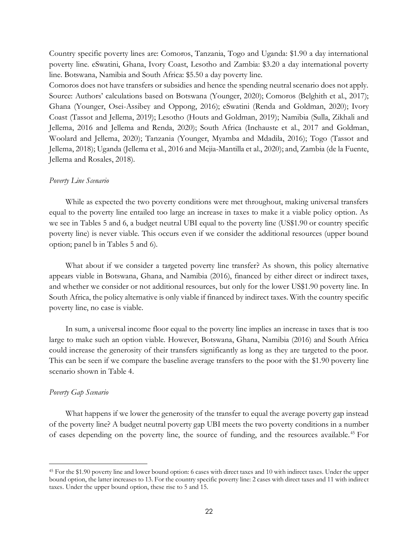Country specific poverty lines are: Comoros, Tanzania, Togo and Uganda: \$1.90 a day international poverty line. eSwatini, Ghana, Ivory Coast, Lesotho and Zambia: \$3.20 a day international poverty line. Botswana, Namibia and South Africa: \$5.50 a day poverty line.

Comoros does not have transfers or subsidies and hence the spending neutral scenario does not apply. Source: Authors' calculations based on Botswana (Younger, 2020); Comoros (Belghith et al., 2017); Ghana (Younger, Osei-Assibey and Oppong, 2016); eSwatini (Renda and Goldman, 2020); Ivory Coast (Tassot and Jellema, 2019); Lesotho (Houts and Goldman, 2019); Namibia (Sulla, Zikhali and Jellema, 2016 and Jellema and Renda, 2020); South Africa (Inchauste et al., 2017 and Goldman, Woolard and Jellema, 2020); Tanzania (Younger, Myamba and Mdadila, 2016); Togo (Tassot and Jellema, 2018); Uganda (Jellema et al., 2016 and Mejia-Mantilla et al., 2020); and, Zambia (de la Fuente, Jellema and Rosales, 2018).

#### *Poverty Line Scenario*

While as expected the two poverty conditions were met throughout, making universal transfers equal to the poverty line entailed too large an increase in taxes to make it a viable policy option. As we see in Tables 5 and 6, a budget neutral UBI equal to the poverty line (US\$1.90 or country specific poverty line) is never viable. This occurs even if we consider the additional resources (upper bound option; panel b in Tables 5 and 6).

What about if we consider a targeted poverty line transfer? As shown, this policy alternative appears viable in Botswana, Ghana, and Namibia (2016), financed by either direct or indirect taxes, and whether we consider or not additional resources, but only for the lower US\$1.90 poverty line. In South Africa, the policy alternative is only viable if financed by indirect taxes. With the country specific poverty line, no case is viable.

In sum, a universal income floor equal to the poverty line implies an increase in taxes that is too large to make such an option viable. However, Botswana, Ghana, Namibia (2016) and South Africa could increase the generosity of their transfers significantly as long as they are targeted to the poor. This can be seen if we compare the baseline average transfers to the poor with the \$1.90 poverty line scenario shown in Table 4.

#### *Poverty Gap Scenario*

What happens if we lower the generosity of the transfer to equal the average poverty gap instead of the poverty line? A budget neutral poverty gap UBI meets the two poverty conditions in a number of cases depending on the poverty line, the source of funding, and the resources available. <sup>45</sup> For

<sup>45</sup> For the \$1.90 poverty line and lower bound option: 6 cases with direct taxes and 10 with indirect taxes. Under the upper bound option, the latter increases to 13. For the country specific poverty line: 2 cases with direct taxes and 11 with indirect taxes. Under the upper bound option, these rise to 5 and 15.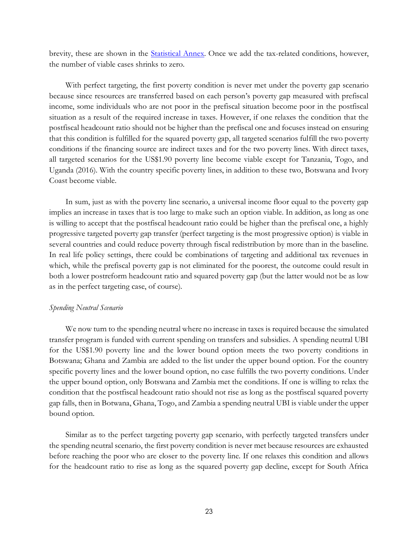brevity, these are shown in the **Statistical Annex**. Once we add the tax-related conditions, however, the number of viable cases shrinks to zero.

With perfect targeting, the first poverty condition is never met under the poverty gap scenario because since resources are transferred based on each person's poverty gap measured with prefiscal income, some individuals who are not poor in the prefiscal situation become poor in the postfiscal situation as a result of the required increase in taxes. However, if one relaxes the condition that the postfiscal headcount ratio should not be higher than the prefiscal one and focuses instead on ensuring that this condition is fulfilled for the squared poverty gap, all targeted scenarios fulfill the two poverty conditions if the financing source are indirect taxes and for the two poverty lines. With direct taxes, all targeted scenarios for the US\$1.90 poverty line become viable except for Tanzania, Togo, and Uganda (2016). With the country specific poverty lines, in addition to these two, Botswana and Ivory Coast become viable.

In sum, just as with the poverty line scenario, a universal income floor equal to the poverty gap implies an increase in taxes that is too large to make such an option viable. In addition, as long as one is willing to accept that the postfiscal headcount ratio could be higher than the prefiscal one, a highly progressive targeted poverty gap transfer (perfect targeting is the most progressive option) is viable in several countries and could reduce poverty through fiscal redistribution by more than in the baseline. In real life policy settings, there could be combinations of targeting and additional tax revenues in which, while the prefiscal poverty gap is not eliminated for the poorest, the outcome could result in both a lower postreform headcount ratio and squared poverty gap (but the latter would not be as low as in the perfect targeting case, of course).

#### *Spending Neutral Scenario*

We now turn to the spending neutral where no increase in taxes is required because the simulated transfer program is funded with current spending on transfers and subsidies. A spending neutral UBI for the US\$1.90 poverty line and the lower bound option meets the two poverty conditions in Botswana; Ghana and Zambia are added to the list under the upper bound option. For the country specific poverty lines and the lower bound option, no case fulfills the two poverty conditions. Under the upper bound option, only Botswana and Zambia met the conditions. If one is willing to relax the condition that the postfiscal headcount ratio should not rise as long as the postfiscal squared poverty gap falls, then in Botwana, Ghana, Togo, and Zambia a spending neutral UBI is viable under the upper bound option.

Similar as to the perfect targeting poverty gap scenario, with perfectly targeted transfers under the spending neutral scenario, the first poverty condition is never met because resources are exhausted before reaching the poor who are closer to the poverty line. If one relaxes this condition and allows for the headcount ratio to rise as long as the squared poverty gap decline, except for South Africa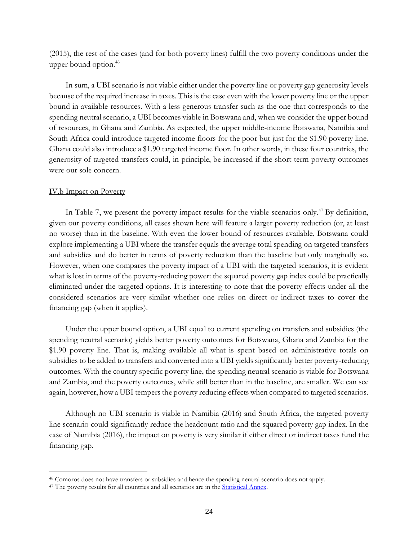(2015), the rest of the cases (and for both poverty lines) fulfill the two poverty conditions under the upper bound option.<sup>46</sup>

In sum, a UBI scenario is not viable either under the poverty line or poverty gap generosity levels because of the required increase in taxes. This is the case even with the lower poverty line or the upper bound in available resources. With a less generous transfer such as the one that corresponds to the spending neutral scenario, a UBI becomes viable in Botswana and, when we consider the upper bound of resources, in Ghana and Zambia. As expected, the upper middle-income Botswana, Namibia and South Africa could introduce targeted income floors for the poor but just for the \$1.90 poverty line. Ghana could also introduce a \$1.90 targeted income floor. In other words, in these four countries, the generosity of targeted transfers could, in principle, be increased if the short-term poverty outcomes were our sole concern.

#### IV.b Impact on Poverty

In Table 7, we present the poverty impact results for the viable scenarios only.<sup>47</sup> By definition, given our poverty conditions, all cases shown here will feature a larger poverty reduction (or, at least no worse) than in the baseline. With even the lower bound of resources available, Botswana could explore implementing a UBI where the transfer equals the average total spending on targeted transfers and subsidies and do better in terms of poverty reduction than the baseline but only marginally so. However, when one compares the poverty impact of a UBI with the targeted scenarios, it is evident what is lost in terms of the poverty-reducing power: the squared poverty gap index could be practically eliminated under the targeted options. It is interesting to note that the poverty effects under all the considered scenarios are very similar whether one relies on direct or indirect taxes to cover the financing gap (when it applies).

Under the upper bound option, a UBI equal to current spending on transfers and subsidies (the spending neutral scenario) yields better poverty outcomes for Botswana, Ghana and Zambia for the \$1.90 poverty line. That is, making available all what is spent based on administrative totals on subsidies to be added to transfers and converted into a UBI yields significantly better poverty-reducing outcomes. With the country specific poverty line, the spending neutral scenario is viable for Botswana and Zambia, and the poverty outcomes, while still better than in the baseline, are smaller. We can see again, however, how a UBI tempers the poverty reducing effects when compared to targeted scenarios.

Although no UBI scenario is viable in Namibia (2016) and South Africa, the targeted poverty line scenario could significantly reduce the headcount ratio and the squared poverty gap index. In the case of Namibia (2016), the impact on poverty is very similar if either direct or indirect taxes fund the financing gap.

<sup>46</sup> Comoros does not have transfers or subsidies and hence the spending neutral scenario does not apply.

<sup>&</sup>lt;sup>47</sup> The poverty results for all countries and all scenarios are in the **Statistical Annex**.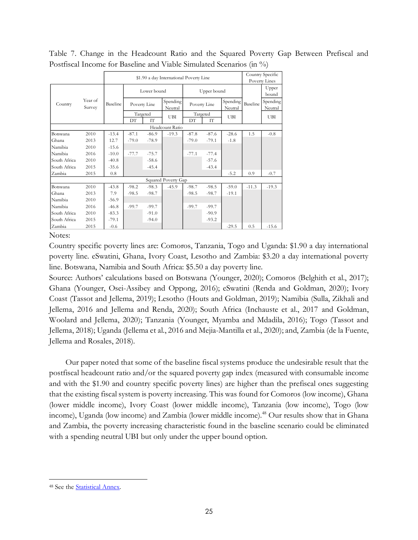|  | Table 7. Change in the Headcount Ratio and the Squared Poverty Gap Between Prefiscal and |  |  |  |  |  |
|--|------------------------------------------------------------------------------------------|--|--|--|--|--|
|  | Postfiscal Income for Baseline and Viable Simulated Scenarios (in %)                     |  |  |  |  |  |

|              |                                                                                                                                   |          | Country Specific |                 |                     |              |                         |                     |                |                     |
|--------------|-----------------------------------------------------------------------------------------------------------------------------------|----------|------------------|-----------------|---------------------|--------------|-------------------------|---------------------|----------------|---------------------|
|              |                                                                                                                                   |          |                  | Poverty Lines   |                     |              |                         |                     |                |                     |
|              |                                                                                                                                   |          |                  | Lower bound     |                     |              | Upper bound             |                     | Upper<br>bound |                     |
| Country      | Year of<br>Survey<br>2010<br>2013<br>2010<br>2016<br>2010<br>2015<br>2015<br>2010<br>2013<br>2010<br>2016<br>2010<br>2015<br>2015 | Baseline | Poverty Line     |                 | Spending<br>Neutral | Poverty Line |                         | Spending<br>Neutral | Baseline       | Spending<br>Neutral |
|              |                                                                                                                                   |          |                  | Targeted        | UBI                 |              | Targeted                | UBI                 |                | UBI                 |
|              |                                                                                                                                   |          | DТ               | TТ <sup>-</sup> |                     | DT           | $\mathbf{I} \mathbf{T}$ |                     |                |                     |
|              |                                                                                                                                   |          |                  |                 | Headcount Ratio     |              |                         |                     |                |                     |
| Botswana     |                                                                                                                                   | $-13.4$  | $-87.1$          | $-86.9$         | $-19.3$             | $-87.8$      | $-87.6$                 | $-28.6$             | 1.5            | $-0.8$              |
| Ghana        |                                                                                                                                   | 12.7     | $-79.0$          | $-78.9$         |                     | $-79.0$      | $-79.1$                 | $-1.8$              |                |                     |
| Namibia      |                                                                                                                                   | $-15.6$  |                  |                 |                     |              |                         |                     |                |                     |
| Namibia      |                                                                                                                                   | $-10.0$  | $-77.7$          | $-75.7$         |                     | $-77.1$      | $-77.4$                 |                     |                |                     |
| South Africa |                                                                                                                                   | $-40.8$  |                  | $-58.6$         |                     |              | $-57.6$                 |                     |                |                     |
| South Africa |                                                                                                                                   | $-35.6$  |                  | $-45.4$         |                     |              | $-43.4$                 |                     |                |                     |
| Zambia       |                                                                                                                                   | 0.8      |                  |                 |                     |              |                         | $-5.2$              | 0.9            | $-0.7$              |
|              |                                                                                                                                   |          |                  |                 | Squared Poverty Gap |              |                         |                     |                |                     |
| Botswana     |                                                                                                                                   | $-43.8$  | $-98.2$          | $-98.3$         | $-45.9$             | $-98.7$      | $-98.5$                 | $-59.0$             | $-11.3$        | $-19.3$             |
| Ghana        |                                                                                                                                   | 7.9      | $-98.5$          | $-98.7$         |                     | $-98.5$      | $-98.7$                 | $-19.1$             |                |                     |
| Namibia      |                                                                                                                                   | $-56.9$  |                  |                 |                     |              |                         |                     |                |                     |
| Namibia      |                                                                                                                                   | $-46.8$  | $-99.7$          | $-99.7$         |                     | $-99.7$      | $-99.7$                 |                     |                |                     |
| South Africa |                                                                                                                                   | $-83.3$  |                  | $-91.0$         |                     |              | $-90.9$                 |                     |                |                     |
| South Africa |                                                                                                                                   | $-79.1$  |                  | $-94.0$         |                     |              | $-93.2$                 |                     |                |                     |
| Zambia       |                                                                                                                                   | $-0.6$   |                  |                 |                     |              |                         | $-29.5$             | 0.5            | $-15.6$             |

## Notes:

Country specific poverty lines are: Comoros, Tanzania, Togo and Uganda: \$1.90 a day international poverty line. eSwatini, Ghana, Ivory Coast, Lesotho and Zambia: \$3.20 a day international poverty line. Botswana, Namibia and South Africa: \$5.50 a day poverty line.

Source: Authors' calculations based on Botswana (Younger, 2020); Comoros (Belghith et al., 2017); Ghana (Younger, Osei-Assibey and Oppong, 2016); eSwatini (Renda and Goldman, 2020); Ivory Coast (Tassot and Jellema, 2019); Lesotho (Houts and Goldman, 2019); Namibia (Sulla, Zikhali and Jellema, 2016 and Jellema and Renda, 2020); South Africa (Inchauste et al., 2017 and Goldman, Woolard and Jellema, 2020); Tanzania (Younger, Myamba and Mdadila, 2016); Togo (Tassot and Jellema, 2018); Uganda (Jellema et al., 2016 and Mejia-Mantilla et al., 2020); and, Zambia (de la Fuente, Jellema and Rosales, 2018).

Our paper noted that some of the baseline fiscal systems produce the undesirable result that the postfiscal headcount ratio and/or the squared poverty gap index (measured with consumable income and with the \$1.90 and country specific poverty lines) are higher than the prefiscal ones suggesting that the existing fiscal system is poverty increasing. This was found for Comoros (low income), Ghana (lower middle income), Ivory Coast (lower middle income), Tanzania (low income), Togo (low income), Uganda (low income) and Zambia (lower middle income).<sup>48</sup> Our results show that in Ghana and Zambia, the poverty increasing characteristic found in the baseline scenario could be eliminated with a spending neutral UBI but only under the upper bound option.

<sup>48</sup> See the [Statistical Annex.](http://commitmentoequity.org/wp-content/uploads/2021/03/Statistical-Annex-of-Are-Budget-Neutral-Income-Floors-Fiscally-Viable-in-Sub-Saharan-Africa.pdf)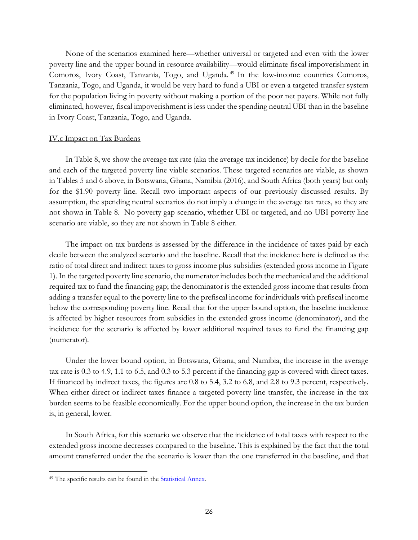None of the scenarios examined here—whether universal or targeted and even with the lower poverty line and the upper bound in resource availability—would eliminate fiscal impoverishment in Comoros, Ivory Coast, Tanzania, Togo, and Uganda. <sup>49</sup> In the low-income countries Comoros, Tanzania, Togo, and Uganda, it would be very hard to fund a UBI or even a targeted transfer system for the population living in poverty without making a portion of the poor net payers. While not fully eliminated, however, fiscal impoverishment is less under the spending neutral UBI than in the baseline in Ivory Coast, Tanzania, Togo, and Uganda.

### IV.c Impact on Tax Burdens

In Table 8, we show the average tax rate (aka the average tax incidence) by decile for the baseline and each of the targeted poverty line viable scenarios. These targeted scenarios are viable, as shown in Tables 5 and 6 above, in Botswana, Ghana, Namibia (2016), and South Africa (both years) but only for the \$1.90 poverty line. Recall two important aspects of our previously discussed results. By assumption, the spending neutral scenarios do not imply a change in the average tax rates, so they are not shown in Table 8. No poverty gap scenario, whether UBI or targeted, and no UBI poverty line scenario are viable, so they are not shown in Table 8 either.

The impact on tax burdens is assessed by the difference in the incidence of taxes paid by each decile between the analyzed scenario and the baseline. Recall that the incidence here is defined as the ratio of total direct and indirect taxes to gross income plus subsidies (extended gross income in Figure 1). In the targeted poverty line scenario, the numerator includes both the mechanical and the additional required tax to fund the financing gap; the denominator is the extended gross income that results from adding a transfer equal to the poverty line to the prefiscal income for individuals with prefiscal income below the corresponding poverty line. Recall that for the upper bound option, the baseline incidence is affected by higher resources from subsidies in the extended gross income (denominator), and the incidence for the scenario is affected by lower additional required taxes to fund the financing gap (numerator).

Under the lower bound option, in Botswana, Ghana, and Namibia, the increase in the average tax rate is 0.3 to 4.9, 1.1 to 6.5, and 0.3 to 5.3 percent if the financing gap is covered with direct taxes. If financed by indirect taxes, the figures are 0.8 to 5.4, 3.2 to 6.8, and 2.8 to 9.3 percent, respectively. When either direct or indirect taxes finance a targeted poverty line transfer, the increase in the tax burden seems to be feasible economically. For the upper bound option, the increase in the tax burden is, in general, lower.

In South Africa, for this scenario we observe that the incidence of total taxes with respect to the extended gross income decreases compared to the baseline. This is explained by the fact that the total amount transferred under the the scenario is lower than the one transferred in the baseline, and that

<sup>&</sup>lt;sup>49</sup> The specific results can be found in the **Statistical Annex**.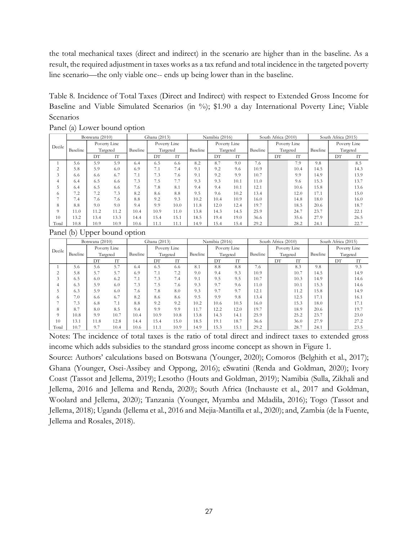the total mechanical taxes (direct and indirect) in the scenario are higher than in the baseline. As a result, the required adjustment in taxes works as a tax refund and total incidence in the targeted poverty line scenario—the only viable one-- ends up being lower than in the baseline.

Table 8. Incidence of Total Taxes (Direct and Indirect) with respect to Extended Gross Income for Baseline and Viable Simulated Scenarios (in %); \$1.90 a day International Poverty Line; Viable Scenarios

|        | Botswana (2010) |      |          | Ghana (2013) |              |          | Namibia (2016) |              |          |          | South Africa (2010) |          | South Africa (2015) |              |      |
|--------|-----------------|------|----------|--------------|--------------|----------|----------------|--------------|----------|----------|---------------------|----------|---------------------|--------------|------|
| Decile | Poverty Line    |      |          |              | Poverty Line |          |                | Poverty Line |          |          | Poverty Line        |          |                     | Poverty Line |      |
|        | Baseline        |      | Targeted | Baseline     |              | Targeted | Baseline       |              | Targeted | Baseline |                     | Targeted | Baseline            | Targeted     |      |
|        |                 | DT   | ľТ       |              | DТ           | IT       |                | DT           | IΤ       |          | DT                  | IΤ       |                     | DT           | IT   |
|        | 5.6             | 5.9  | 5.9      | 6.4          | 6.5          | 6.6      | 8.2            | 8.7          | 9.0      | 7.6      |                     | 7.9      | 9.8                 |              | 8.5  |
| 2      | 5.8             | 5.9  | 6.0      | 6.9          | 7.1          | 7.4      | 9.1            | 9.2          | 9.6      | 10.9     |                     | 10.4     | 14.5                |              | 14.3 |
| 3      | 6.6             | 6.6  | 6.7      | 7.1          | 7.3          | 7.6      | 9.1            | 9.2          | 9.9      | 10.7     |                     | 9.9      | 14.9                |              | 13.9 |
| 4      | 6.4             | 6.5  | 6.6      | 7.3          | 7.5          | 7.7      | 9.3            | 9.3          | 10.1     | 11.0     |                     | 9.6      | 15.3                |              | 13.7 |
| 5      | 6.4             | 6.5  | 6.6      | 7.6          | 7.8          | 8.1      | 9.4            | 9.4          | 10.1     | 12.1     |                     | 10.6     | 15.8                |              | 13.6 |
| 6      | 7.2             | 7.2  | 7.3      | 8.2          | 8.6          | 8.8      | 9.5            | 9.6          | 10.2     | 13.4     |                     | 12.0     | 17.1                |              | 15.0 |
|        | 7.4             | 7.6  | 7.6      | 8.8          | 9.2          | 9.3      | 10.2           | 10.4         | 10.9     | 16.0     |                     | 14.8     | 18.0                |              | 16.0 |
| 8      | 8.8             | 9.0  | 9.0      | 9.4          | 9.9          | 10.0     | 11.8           | 12.0         | 12.4     | 19.7     |                     | 18.5     | 20.6                |              | 18.7 |
| 9      | 11.0            | 11.2 | 11.2     | 10.4         | 10.9         | 11.0     | 13.8           | 14.3         | 14.5     | 25.9     |                     | 24.7     | 23.7                |              | 22.1 |
| 10     | 13.2            | 13.4 | 13.3     | 14.4         | 15.4         | 15.1     | 18.5           | 19.4         | 19.0     | 36.6     |                     | 35.6     | 27.9                |              | 26.5 |
| Total  | 10.8            | 10.9 | 10.9     | 10.6         | 11.1         | 11.1     | 14.9           | 15.4         | 15.4     | 29.2     |                     | 28.2     | 24.1                |              | 22.7 |

Panel (a) Lower bound option

Panel (b) Upper bound option

|        | Botswana (2010) |              |      |          | Ghana (2013) |          |          | Namibia (2016) |              |          | South Africa (2010) |          | South Africa (2015) |              |      |  |
|--------|-----------------|--------------|------|----------|--------------|----------|----------|----------------|--------------|----------|---------------------|----------|---------------------|--------------|------|--|
| Decile |                 | Poverty Line |      |          | Poverty Line |          |          |                | Poverty Line |          | Poverty Line        |          |                     | Poverty Line |      |  |
|        | Baseline        | Targeted     |      | Baseline |              | Targeted | Baseline | Targeted       |              | Baseline |                     | Targeted | Baseline            | Targeted     |      |  |
|        |                 | DТ           | IT   |          | DΤ           | ľТ       |          | DТ             | IT           |          | DТ                  | ľТ       |                     | DT           | IT   |  |
|        | 5.6             | 5.6          | 5.7  | 6.4      | 6.5          | 6.6      | 8.1      | 8.8            | 8.8          | 7.6      |                     | 8.3      | 9.8                 |              | 9.3  |  |
| 2      | 5.8             | 5.7          | 5.7  | 6.9      | 7.1          | 7.2      | 9.0      | 9.4            | 9.3          | 10.9     |                     | 10.7     | 14.5                |              | 14.9 |  |
| 3      | 6.5             | 6.0          | 6.2  | 7.1      | 7.3          | 7.4      | 9.1      | 9.5            | 9.5          | 10.7     |                     | 10.3     | 14.9                |              | 14.6 |  |
| 4      | 6.3             | 5.9          | 6.0  | 7.3      | 7.5          | 7.6      | 9.3      | 9.7            | 9.6          | 11.0     |                     | 10.1     | 15.3                |              | 14.6 |  |
|        | 6.3             | 5.9          | 6.0  | 7.6      | 7.8          | 8.0      | 9.3      | 9.7            | 9.7          | 12.1     |                     | 11.2     | 15.8                |              | 14.9 |  |
| 6      | 7.0             | 6.6          | 6.7  | 8.2      | 8.6          | 8.6      | 9.5      | 9.9            | 9.8          | 13.4     |                     | 12.5     | 17.1                |              | 16.1 |  |
|        | 7.3             | 6.8          | 7.1  | 8.8      | 9.2          | 9.2      | 10.2     | 10.6           | 10.5         | 16.0     |                     | 15.3     | 18.0                |              | 17.1 |  |
| 8      | 8.7             | 8.0          | 8.5  | 9.4      | 9.9          | 9.9      | 11.7     | 12.2           | 12.0         | 19.7     |                     | 18.9     | 20.6                |              | 19.7 |  |
| 9      | 10.8            | 9.9          | 10.7 | 10.4     | 10.9         | 10.8     | 13.8     | 14.3           | 14.1         | 25.9     |                     | 25.2     | 23.7                |              | 23.0 |  |
| 10     | 13.1            | 11.8         | 12.8 | 14.4     | 15.4         | 15.0     | 18.5     | 19.1           | 18.7         | 36.6     |                     | 36.0     | 27.9                |              | 27.2 |  |
| Total  | 10.7            | 9.7          | 10.4 | 10.6     | 11.1         | 10.9     | 14.9     | 15.3           | 15.1         | 29.2     |                     | 28.7     | 24.1                |              | 23.5 |  |

Notes: The incidence of total taxes is the ratio of total direct and indirect taxes to extended gross income which adds subsidies to the standard gross income concept as shown in Figure 1.

Source: Authors' calculations based on Botswana (Younger, 2020); Comoros (Belghith et al., 2017); Ghana (Younger, Osei-Assibey and Oppong, 2016); eSwatini (Renda and Goldman, 2020); Ivory Coast (Tassot and Jellema, 2019); Lesotho (Houts and Goldman, 2019); Namibia (Sulla, Zikhali and Jellema, 2016 and Jellema and Renda, 2020); South Africa (Inchauste et al., 2017 and Goldman, Woolard and Jellema, 2020); Tanzania (Younger, Myamba and Mdadila, 2016); Togo (Tassot and Jellema, 2018); Uganda (Jellema et al., 2016 and Mejia-Mantilla et al., 2020); and, Zambia (de la Fuente, Jellema and Rosales, 2018).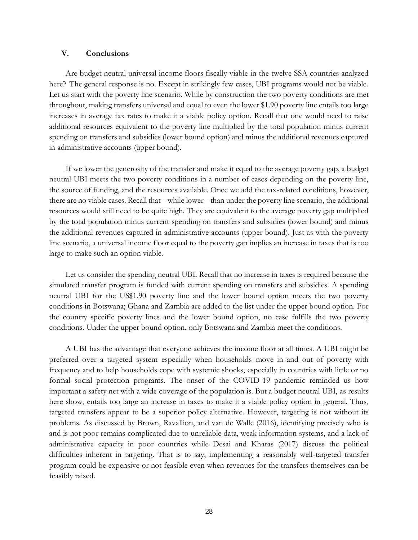## **V. Conclusions**

Are budget neutral universal income floors fiscally viable in the twelve SSA countries analyzed here? The general response is no. Except in strikingly few cases, UBI programs would not be viable. Let us start with the poverty line scenario. While by construction the two poverty conditions are met throughout, making transfers universal and equal to even the lower \$1.90 poverty line entails too large increases in average tax rates to make it a viable policy option. Recall that one would need to raise additional resources equivalent to the poverty line multiplied by the total population minus current spending on transfers and subsidies (lower bound option) and minus the additional revenues captured in administrative accounts (upper bound).

If we lower the generosity of the transfer and make it equal to the average poverty gap, a budget neutral UBI meets the two poverty conditions in a number of cases depending on the poverty line, the source of funding, and the resources available. Once we add the tax-related conditions, however, there are no viable cases. Recall that --while lower-- than under the poverty line scenario, the additional resources would still need to be quite high. They are equivalent to the average poverty gap multiplied by the total population minus current spending on transfers and subsidies (lower bound) and minus the additional revenues captured in administrative accounts (upper bound). Just as with the poverty line scenario, a universal income floor equal to the poverty gap implies an increase in taxes that is too large to make such an option viable.

Let us consider the spending neutral UBI. Recall that no increase in taxes is required because the simulated transfer program is funded with current spending on transfers and subsidies. A spending neutral UBI for the US\$1.90 poverty line and the lower bound option meets the two poverty conditions in Botswana; Ghana and Zambia are added to the list under the upper bound option. For the country specific poverty lines and the lower bound option, no case fulfills the two poverty conditions. Under the upper bound option, only Botswana and Zambia meet the conditions.

A UBI has the advantage that everyone achieves the income floor at all times. A UBI might be preferred over a targeted system especially when households move in and out of poverty with frequency and to help households cope with systemic shocks, especially in countries with little or no formal social protection programs. The onset of the COVID-19 pandemic reminded us how important a safety net with a wide coverage of the population is. But a budget neutral UBI, as results here show, entails too large an increase in taxes to make it a viable policy option in general. Thus, targeted transfers appear to be a superior policy alternative. However, targeting is not without its problems. As discussed by Brown, Ravallion, and van de Walle (2016), identifying precisely who is and is not poor remains complicated due to unreliable data, weak information systems, and a lack of administrative capacity in poor countries while Desai and Kharas (2017) discuss the political difficulties inherent in targeting. That is to say, implementing a reasonably well-targeted transfer program could be expensive or not feasible even when revenues for the transfers themselves can be feasibly raised.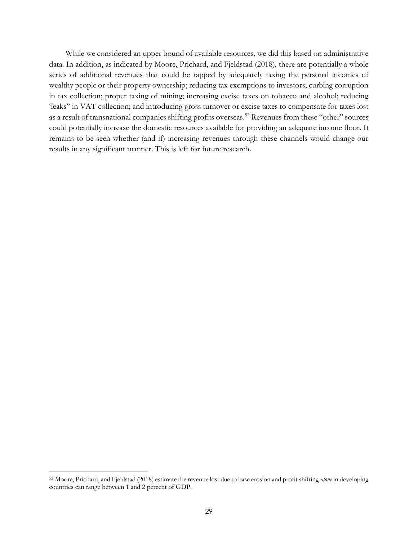While we considered an upper bound of available resources, we did this based on administrative data. In addition, as indicated by Moore, Prichard, and Fjeldstad (2018), there are potentially a whole series of additional revenues that could be tapped by adequately taxing the personal incomes of wealthy people or their property ownership; reducing tax exemptions to investors; curbing corruption in tax collection; proper taxing of mining; increasing excise taxes on tobacco and alcohol; reducing 'leaks" in VAT collection; and introducing gross turnover or excise taxes to compensate for taxes lost as a result of transnational companies shifting profits overseas.<sup>52</sup> Revenues from these "other" sources could potentially increase the domestic resources available for providing an adequate income floor. It remains to be seen whether (and if) increasing revenues through these channels would change our results in any significant manner. This is left for future research.

<sup>52</sup> Moore, Prichard, and Fjeldstad (2018) estimate the revenue lost due to base erosion and profit shifting *alone* in developing countries can range between 1 and 2 percent of GDP.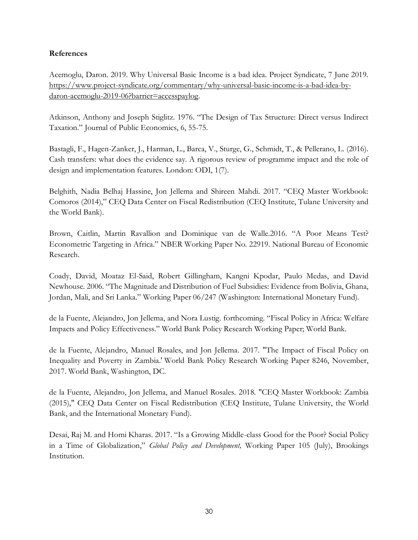## **References**

Acemoglu, Daron. 2019. Why Universal Basic Income is a bad idea. Project Syndicate, 7 June 2019. [https://www.project-syndicate.org/commentary/why-universal-basic-income-is-a-bad-idea-by](https://www.project-syndicate.org/commentary/why-universal-basic-income-is-a-bad-idea-by-daron-acemoglu-2019-06?barrier=accesspaylog)[daron-acemoglu-2019-06?barrier=accesspaylog.](https://www.project-syndicate.org/commentary/why-universal-basic-income-is-a-bad-idea-by-daron-acemoglu-2019-06?barrier=accesspaylog)

Atkinson, Anthony and Joseph Stiglitz. 1976. "The Design of Tax Structure: Direct versus Indirect Taxation." Journal of Public Economics, 6, 55-75.

Bastagli, F., Hagen-Zanker, J., Harman, L., Barca, V., Sturge, G., Schmidt, T., & Pellerano, L. (2016). Cash transfers: what does the evidence say. A rigorous review of programme impact and the role of design and implementation features. London: ODI, 1(7).

Belghith, Nadia Belhaj Hassine, Jon Jellema and Shireen Mahdi. 2017. "CEQ Master Workbook: Comoros (2014)," CEQ Data Center on Fiscal Redistribution (CEQ Institute, Tulane University and the World Bank).

Brown, Caitlin, Martin Ravallion and Dominique van de Walle.2016. "A Poor Means Test? Econometric Targeting in Africa." NBER Working Paper No. 22919. National Bureau of Economic Research.

Coady, David, Moataz El-Said, Robert Gillingham, Kangni Kpodar, Paulo Medas, and David Newhouse. 2006. "The Magnitude and Distribution of Fuel Subsidies: Evidence from Bolivia, Ghana, Jordan, Mali, and Sri Lanka." Working Paper 06/247 (Washington: International Monetary Fund).

de la Fuente, Alejandro, Jon Jellema, and Nora Lustig. forthcoming. "Fiscal Policy in Africa: Welfare Impacts and Policy Effectiveness." World Bank Policy Research Working Paper; World Bank.

de la Fuente, Alejandro, Manuel Rosales, and Jon Jellema. 2017. "The Impact of Fiscal Policy on Inequality and Poverty in Zambia.' World Bank Policy Research Working Paper 8246, November, 2017. World Bank, Washington, DC.

de la Fuente, Alejandro, Jon Jellema, and Manuel Rosales. 2018. "CEQ Master Workbook: Zambia (2015)," CEQ Data Center on Fiscal Redistribution (CEQ Institute, Tulane University, the World Bank, and the International Monetary Fund).

Desai, Raj M. and Homi Kharas. 2017. "Is a Growing Middle-class Good for the Poor? Social Policy in a Time of Globalization," *Global Policy and Development,* Working Paper 105 (July), Brookings Institution.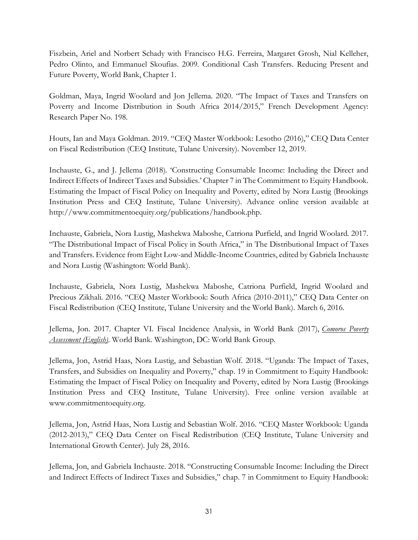Fiszbein, Ariel and Norbert Schady with Francisco H.G. Ferreira, Margaret Grosh, Nial Kelleher, Pedro Olinto, and Emmanuel Skoufias. 2009. Conditional Cash Transfers. Reducing Present and Future Poverty, World Bank, Chapter 1.

Goldman, Maya, Ingrid Woolard and Jon Jellema. 2020. "The Impact of Taxes and Transfers on Poverty and Income Distribution in South Africa 2014/2015," French Development Agency: Research Paper No. 198.

Houts, Ian and Maya Goldman. 2019. "CEQ Master Workbook: Lesotho (2016)," CEQ Data Center on Fiscal Redistribution (CEQ Institute, Tulane University). November 12, 2019.

Inchauste, G., and J. Jellema (2018). 'Constructing Consumable Income: Including the Direct and Indirect Effects of Indirect Taxes and Subsidies.' Chapter 7 in The Commitment to Equity Handbook. Estimating the Impact of Fiscal Policy on Inequality and Poverty, edited by Nora Lustig (Brookings Institution Press and CEQ Institute, Tulane University). Advance online version available at http://www.commitmentoequity.org/publications/handbook.php.

Inchauste, Gabriela, Nora Lustig, Mashekwa Maboshe, Catriona Purfield, and Ingrid Woolard. 2017. "The Distributional Impact of Fiscal Policy in South Africa," in The Distributional Impact of Taxes and Transfers. Evidence from Eight Low-and Middle-Income Countries, edited by Gabriela Inchauste and Nora Lustig (Washington: World Bank).

Inchauste, Gabriela, Nora Lustig, Mashekwa Maboshe, Catriona Purfield, Ingrid Woolard and Precious Zikhali. 2016. "CEQ Master Workbook: South Africa (2010-2011)," CEQ Data Center on Fiscal Redistribution (CEQ Institute, Tulane University and the World Bank). March 6, 2016.

Jellema, Jon. 2017. Chapter VI. Fiscal Incidence Analysis, in World Bank (2017), *[Comoros Poverty](http://documents.worldbank.org/curated/en/342321528113131924/pdf/125069-WP-P156542-OUO-9-Comoros-Poverty-Assessment-revised.pdf)  [Assessment \(English\).](http://documents.worldbank.org/curated/en/342321528113131924/pdf/125069-WP-P156542-OUO-9-Comoros-Poverty-Assessment-revised.pdf)* World Bank. Washington, DC: World Bank Group.

Jellema, Jon, Astrid Haas, Nora Lustig, and Sebastian Wolf. 2018. "Uganda: The Impact of Taxes, Transfers, and Subsidies on Inequality and Poverty," chap. 19 in Commitment to Equity Handbook: Estimating the Impact of Fiscal Policy on Inequality and Poverty, edited by Nora Lustig (Brookings Institution Press and CEQ Institute, Tulane University). Free online version available at www.commitmentoequity.org.

Jellema, Jon, Astrid Haas, Nora Lustig and Sebastian Wolf. 2016. "CEQ Master Workbook: Uganda (2012-2013)," CEQ Data Center on Fiscal Redistribution (CEQ Institute, Tulane University and International Growth Center). July 28, 2016.

Jellema, Jon, and Gabriela Inchauste. 2018. "Constructing Consumable Income: Including the Direct and Indirect Effects of Indirect Taxes and Subsidies," chap. 7 in Commitment to Equity Handbook: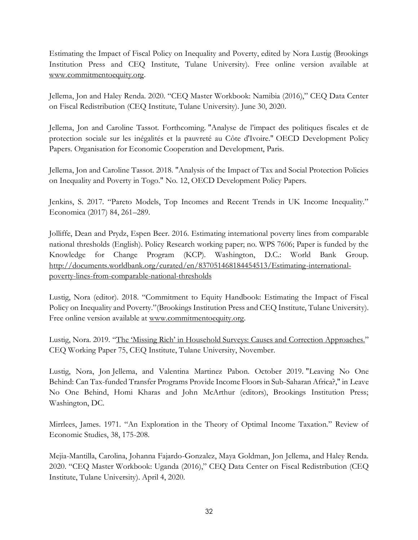Estimating the Impact of Fiscal Policy on Inequality and Poverty, edited by Nora Lustig (Brookings Institution Press and CEQ Institute, Tulane University). Free online version available at [www.commitmentoequity.org.](http://www.commitmentoequity.org/)

Jellema, Jon and Haley Renda. 2020. "CEQ Master Workbook: Namibia (2016)," CEQ Data Center on Fiscal Redistribution (CEQ Institute, Tulane University). June 30, 2020.

Jellema, Jon and Caroline Tassot. Forthcoming. "Analyse de l'impact des politiques fiscales et de protection sociale sur les inégalités et la pauvreté au Côte d'Ivoire." OECD Development Policy Papers. Organisation for Economic Cooperation and Development, Paris.

Jellema, Jon and Caroline Tassot. 2018. "Analysis of the Impact of Tax and Social Protection Policies on Inequality and Poverty in Togo." No. 12, OECD Development Policy Papers.

Jenkins, S. 2017. "Pareto Models, Top Incomes and Recent Trends in UK Income Inequality." Economica (2017) 84, 261–289.

Jolliffe, Dean and Prydz, Espen Beer. 2016. Estimating international poverty lines from comparable national thresholds (English). Policy Research working paper; no. WPS 7606; Paper is funded by the Knowledge for Change Program (KCP). Washington, D.C.: World Bank Group. [http://documents.worldbank.org/curated/en/837051468184454513/Estimating-international](http://documents.worldbank.org/curated/en/837051468184454513/Estimating-international-poverty-lines-from-comparable-national-thresholds)[poverty-lines-from-comparable-national-thresholds](http://documents.worldbank.org/curated/en/837051468184454513/Estimating-international-poverty-lines-from-comparable-national-thresholds)

Lustig, Nora (editor). 2018. "Commitment to Equity Handbook: Estimating the Impact of Fiscal Policy on Inequality and Poverty."(Brookings Institution Press and CEQ Institute, Tulane University). Free online version available at [www.commitmentoequity.org.](http://www.commitmentoequity.org/)

Lustig, Nora. 2019. ["The 'Missing Rich' in Household Surveys: Causes and](http://repec.tulane.edu/RePEc/ceq/ceq75.pdf) Correction Approaches." CEQ Working Paper 75, CEQ Institute, Tulane University, November.

Lustig, Nora, Jon Jellema, and Valentina Martinez Pabon. October 2019. "Leaving No One Behind: Can Tax-funded Transfer Programs Provide Income Floors in Sub-Saharan Africa?," in Leave No One Behind, Homi Kharas and John McArthur (editors), Brookings Institution Press; Washington, DC.

Mirrlees, James. 1971. "An Exploration in the Theory of Optimal Income Taxation." Review of Economic Studies, 38, 175-208.

Mejia-Mantilla, Carolina, Johanna Fajardo-Gonzalez, Maya Goldman, Jon Jellema, and Haley Renda. 2020. "CEQ Master Workbook: Uganda (2016)," CEQ Data Center on Fiscal Redistribution (CEQ Institute, Tulane University). April 4, 2020.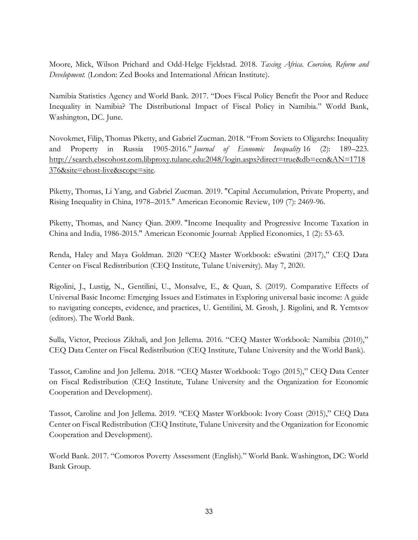Moore, Mick, Wilson Prichard and Odd-Helge Fjeldstad. 2018. *Taxing Africa. Coercion, Reform and Development.* (London: Zed Books and International African Institute).

Namibia Statistics Agency and World Bank. 2017. "Does Fiscal Policy Benefit the Poor and Reduce Inequality in Namibia? The Distributional Impact of Fiscal Policy in Namibia." World Bank, Washington, DC. June.

Novokmet, Filip, Thomas Piketty, and Gabriel Zucman. 2018. "From Soviets to Oligarchs: Inequality and Property in Russia 1905-2016." *Journal of Economic Inequality* 16 (2): 189–223. [http://search.ebscohost.com.libproxy.tulane.edu:2048/login.aspx?direct=true&db=ecn&AN=1718](http://search.ebscohost.com.libproxy.tulane.edu:2048/login.aspx?direct=true&db=ecn&AN=1718376&site=ehost-live&scope=site) [376&site=ehost-live&scope=site.](http://search.ebscohost.com.libproxy.tulane.edu:2048/login.aspx?direct=true&db=ecn&AN=1718376&site=ehost-live&scope=site)

Piketty, Thomas, Li Yang, and Gabriel Zucman. 2019. "Capital Accumulation, Private Property, and Rising Inequality in China, 1978–2015." American Economic Review, 109 (7): 2469-96.

Piketty, Thomas, and Nancy Qian. 2009. "Income Inequality and Progressive Income Taxation in China and India, 1986-2015." American Economic Journal: Applied Economics, 1 (2): 53-63.

Renda, Haley and Maya Goldman. 2020 "CEQ Master Workbook: eSwatini (2017)," CEQ Data Center on Fiscal Redistribution (CEQ Institute, Tulane University). May 7, 2020.

Rigolini, J., Lustig, N., Gentilini, U., Monsalve, E., & Quan, S. (2019). Comparative Effects of Universal Basic Income: Emerging Issues and Estimates in Exploring universal basic income: A guide to navigating concepts, evidence, and practices, U. Gentilini, M. Grosh, J. Rigolini, and R. Yemtsov (editors). The World Bank.

Sulla, Victor, Precious Zikhali, and Jon Jellema. 2016. "CEQ Master Workbook: Namibia (2010)," CEQ Data Center on Fiscal Redistribution (CEQ Institute, Tulane University and the World Bank).

Tassot, Caroline and Jon Jellema. 2018. "CEQ Master Workbook: Togo (2015)," CEQ Data Center on Fiscal Redistribution (CEQ Institute, Tulane University and the Organization for Economic Cooperation and Development).

Tassot, Caroline and Jon Jellema. 2019. "CEQ Master Workbook: Ivory Coast (2015)," CEQ Data Center on Fiscal Redistribution (CEQ Institute, Tulane University and the Organization for Economic Cooperation and Development).

World Bank. 2017. "Comoros Poverty Assessment (English)." World Bank. Washington, DC: World Bank Group.